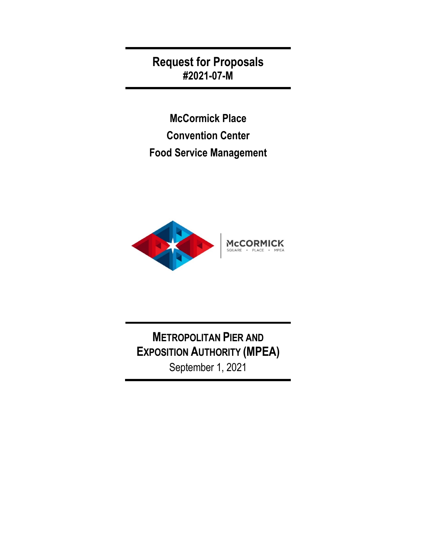**Request for Proposals #2021-07-M**

**McCormick Place Convention Center Food Service Management** 



**METROPOLITAN PIER AND EXPOSITION AUTHORITY (MPEA)** September 1, 2021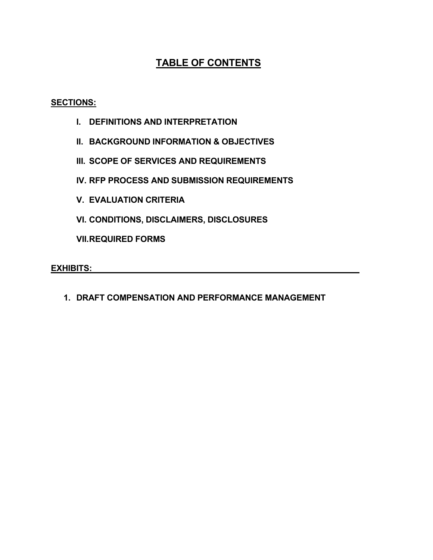# **TABLE OF CONTENTS**

### **SECTIONS:**

- **I. DEFINITIONS AND INTERPRETATION**
- **II. BACKGROUND INFORMATION & OBJECTIVES**
- **III. SCOPE OF SERVICES AND REQUIREMENTS**
- **IV. RFP PROCESS AND SUBMISSION REQUIREMENTS**
- **V. EVALUATION CRITERIA**
- **VI. CONDITIONS, DISCLAIMERS, DISCLOSURES**

**VII.REQUIRED FORMS**

**EXHIBITS:**

**1. DRAFT COMPENSATION AND PERFORMANCE MANAGEMENT**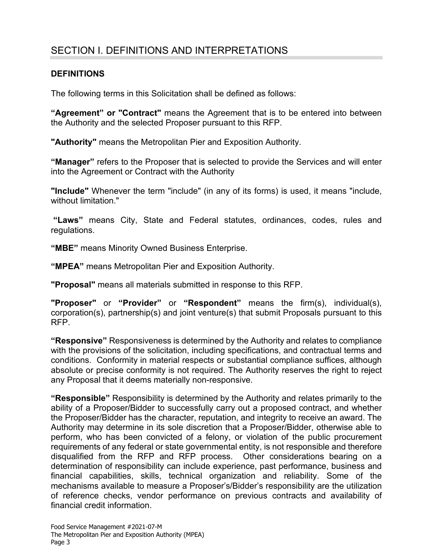# SECTION I. DEFINITIONS AND INTERPRETATIONS

#### **DEFINITIONS**

The following terms in this Solicitation shall be defined as follows:

**"Agreement" or "Contract"** means the Agreement that is to be entered into between the Authority and the selected Proposer pursuant to this RFP.

**"Authority"** means the Metropolitan Pier and Exposition Authority.

**"Manager"** refers to the Proposer that is selected to provide the Services and will enter into the Agreement or Contract with the Authority

**"Include"** Whenever the term "include" (in any of its forms) is used, it means "include, without limitation."

**"Laws"** means City, State and Federal statutes, ordinances, codes, rules and regulations.

**"MBE"** means Minority Owned Business Enterprise.

**"MPEA"** means Metropolitan Pier and Exposition Authority.

**"Proposal"** means all materials submitted in response to this RFP.

**"Proposer"** or **"Provider"** or **"Respondent"** means the firm(s), individual(s), corporation(s), partnership(s) and joint venture(s) that submit Proposals pursuant to this RFP.

**"Responsive"** Responsiveness is determined by the Authority and relates to compliance with the provisions of the solicitation, including specifications, and contractual terms and conditions. Conformity in material respects or substantial compliance suffices, although absolute or precise conformity is not required. The Authority reserves the right to reject any Proposal that it deems materially non-responsive.

**"Responsible"** Responsibility is determined by the Authority and relates primarily to the ability of a Proposer/Bidder to successfully carry out a proposed contract, and whether the Proposer/Bidder has the character, reputation, and integrity to receive an award. The Authority may determine in its sole discretion that a Proposer/Bidder, otherwise able to perform, who has been convicted of a felony, or violation of the public procurement requirements of any federal or state governmental entity, is not responsible and therefore disqualified from the RFP and RFP process. Other considerations bearing on a determination of responsibility can include experience, past performance, business and financial capabilities, skills, technical organization and reliability. Some of the mechanisms available to measure a Proposer's/Bidder's responsibility are the utilization of reference checks, vendor performance on previous contracts and availability of financial credit information.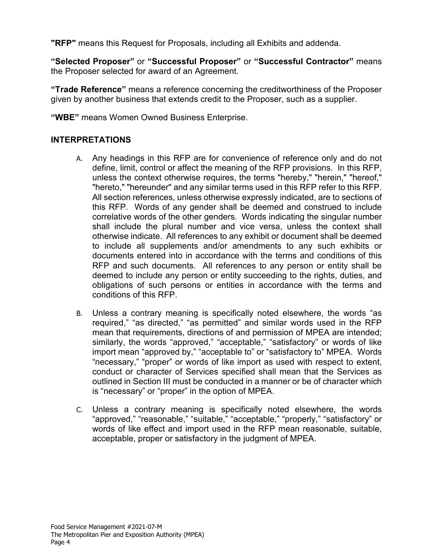**"RFP"** means this Request for Proposals, including all Exhibits and addenda.

**"Selected Proposer"** or **"Successful Proposer"** or **"Successful Contractor"** means the Proposer selected for award of an Agreement.

**"Trade Reference"** means a reference concerning the creditworthiness of the Proposer given by another business that extends credit to the Proposer, such as a supplier.

**"WBE"** means Women Owned Business Enterprise.

### **INTERPRETATIONS**

- A. Any headings in this RFP are for convenience of reference only and do not define, limit, control or affect the meaning of the RFP provisions. In this RFP, unless the context otherwise requires, the terms "hereby," "herein," "hereof," "hereto," "hereunder" and any similar terms used in this RFP refer to this RFP. All section references, unless otherwise expressly indicated, are to sections of this RFP. Words of any gender shall be deemed and construed to include correlative words of the other genders. Words indicating the singular number shall include the plural number and vice versa, unless the context shall otherwise indicate. All references to any exhibit or document shall be deemed to include all supplements and/or amendments to any such exhibits or documents entered into in accordance with the terms and conditions of this RFP and such documents. All references to any person or entity shall be deemed to include any person or entity succeeding to the rights, duties, and obligations of such persons or entities in accordance with the terms and conditions of this RFP.
- B. Unless a contrary meaning is specifically noted elsewhere, the words "as required," "as directed," "as permitted" and similar words used in the RFP mean that requirements, directions of and permission of MPEA are intended; similarly, the words "approved," "acceptable," "satisfactory" or words of like import mean "approved by," "acceptable to" or "satisfactory to" MPEA. Words "necessary," "proper" or words of like import as used with respect to extent, conduct or character of Services specified shall mean that the Services as outlined in Section III must be conducted in a manner or be of character which is "necessary" or "proper" in the option of MPEA.
- C. Unless a contrary meaning is specifically noted elsewhere, the words "approved," "reasonable," "suitable," "acceptable," "properly," "satisfactory" or words of like effect and import used in the RFP mean reasonable, suitable, acceptable, proper or satisfactory in the judgment of MPEA.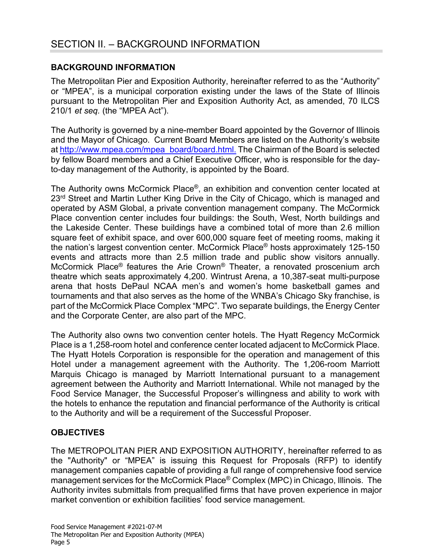### **BACKGROUND INFORMATION**

The Metropolitan Pier and Exposition Authority, hereinafter referred to as the "Authority" or "MPEA", is a municipal corporation existing under the laws of the State of Illinois pursuant to the Metropolitan Pier and Exposition Authority Act, as amended, 70 ILCS 210/1 *et seq.* (the "MPEA Act").

The Authority is governed by a nine-member Board appointed by the Governor of Illinois and the Mayor of Chicago. Current Board Members are listed on the Authority's website a[t http://www.mpea.com/mpea\\_board/board.html.](http://www.mpea.com/mpea_board/board.html) The Chairman of the Board is selected by fellow Board members and a Chief Executive Officer, who is responsible for the dayto-day management of the Authority, is appointed by the Board.

The Authority owns McCormick Place®, an exhibition and convention center located at 23<sup>rd</sup> Street and Martin Luther King Drive in the City of Chicago, which is managed and operated by ASM Global, a private convention management company. The McCormick Place convention center includes four buildings: the South, West, North buildings and the Lakeside Center. These buildings have a combined total of more than 2.6 million square feet of exhibit space, and over 600,000 square feet of meeting rooms, making it the nation's largest convention center. McCormick Place® hosts approximately 125-150 events and attracts more than 2.5 million trade and public show visitors annually. McCormick Place® features the Arie Crown® Theater, a renovated proscenium arch theatre which seats approximately 4,200. Wintrust Arena, a 10,387-seat multi-purpose arena that hosts DePaul NCAA men's and women's home basketball games and tournaments and that also serves as the home of the WNBA's Chicago Sky franchise, is part of the McCormick Place Complex "MPC". Two separate buildings, the Energy Center and the Corporate Center, are also part of the MPC.

The Authority also owns two convention center hotels. The Hyatt Regency McCormick Place is a 1,258-room hotel and conference center located adjacent to McCormick Place. The Hyatt Hotels Corporation is responsible for the operation and management of this Hotel under a management agreement with the Authority. The 1,206-room Marriott Marquis Chicago is managed by Marriott International pursuant to a management agreement between the Authority and Marriott International. While not managed by the Food Service Manager, the Successful Proposer's willingness and ability to work with the hotels to enhance the reputation and financial performance of the Authority is critical to the Authority and will be a requirement of the Successful Proposer.

### **OBJECTIVES**

The METROPOLITAN PIER AND EXPOSITION AUTHORITY, hereinafter referred to as the "Authority" or "MPEA" is issuing this Request for Proposals (RFP) to identify management companies capable of providing a full range of comprehensive food service management services for the McCormick Place® Complex (MPC) in Chicago, Illinois. The Authority invites submittals from prequalified firms that have proven experience in major market convention or exhibition facilities' food service management.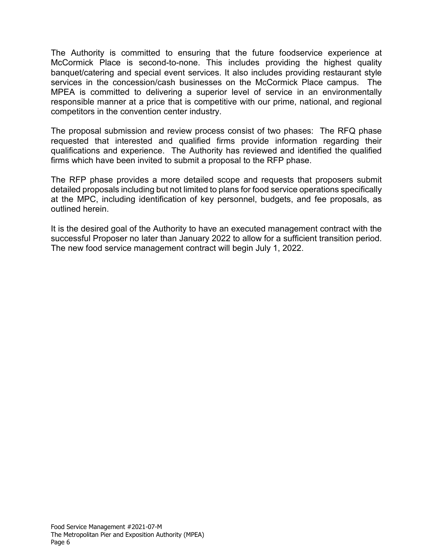The Authority is committed to ensuring that the future foodservice experience at McCormick Place is second-to-none. This includes providing the highest quality banquet/catering and special event services. It also includes providing restaurant style services in the concession/cash businesses on the McCormick Place campus. The MPEA is committed to delivering a superior level of service in an environmentally responsible manner at a price that is competitive with our prime, national, and regional competitors in the convention center industry.

The proposal submission and review process consist of two phases: The RFQ phase requested that interested and qualified firms provide information regarding their qualifications and experience. The Authority has reviewed and identified the qualified firms which have been invited to submit a proposal to the RFP phase.

The RFP phase provides a more detailed scope and requests that proposers submit detailed proposals including but not limited to plans for food service operations specifically at the MPC, including identification of key personnel, budgets, and fee proposals, as outlined herein.

It is the desired goal of the Authority to have an executed management contract with the successful Proposer no later than January 2022 to allow for a sufficient transition period. The new food service management contract will begin July 1, 2022.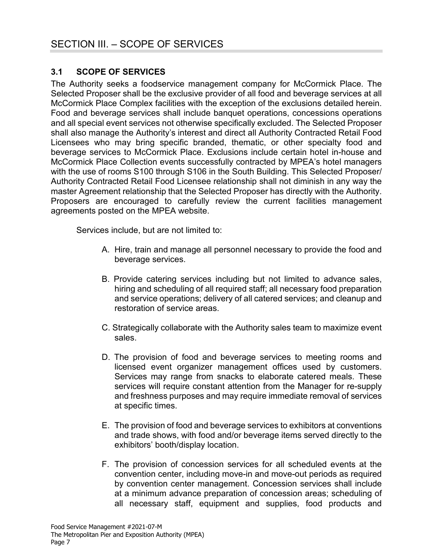### **3.1 SCOPE OF SERVICES**

The Authority seeks a foodservice management company for McCormick Place. The Selected Proposer shall be the exclusive provider of all food and beverage services at all McCormick Place Complex facilities with the exception of the exclusions detailed herein. Food and beverage services shall include banquet operations, concessions operations and all special event services not otherwise specifically excluded. The Selected Proposer shall also manage the Authority's interest and direct all Authority Contracted Retail Food Licensees who may bring specific branded, thematic, or other specialty food and beverage services to McCormick Place. Exclusions include certain hotel in-house and McCormick Place Collection events successfully contracted by MPEA's hotel managers with the use of rooms S100 through S106 in the South Building. This Selected Proposer/ Authority Contracted Retail Food Licensee relationship shall not diminish in any way the master Agreement relationship that the Selected Proposer has directly with the Authority. Proposers are encouraged to carefully review the current facilities management agreements posted on the MPEA website.

Services include, but are not limited to:

- A. Hire, train and manage all personnel necessary to provide the food and beverage services.
- B. Provide catering services including but not limited to advance sales, hiring and scheduling of all required staff; all necessary food preparation and service operations; delivery of all catered services; and cleanup and restoration of service areas.
- C. Strategically collaborate with the Authority sales team to maximize event sales.
- D. The provision of food and beverage services to meeting rooms and licensed event organizer management offices used by customers. Services may range from snacks to elaborate catered meals. These services will require constant attention from the Manager for re-supply and freshness purposes and may require immediate removal of services at specific times.
- E. The provision of food and beverage services to exhibitors at conventions and trade shows, with food and/or beverage items served directly to the exhibitors' booth/display location.
- F. The provision of concession services for all scheduled events at the convention center, including move-in and move-out periods as required by convention center management. Concession services shall include at a minimum advance preparation of concession areas; scheduling of all necessary staff, equipment and supplies, food products and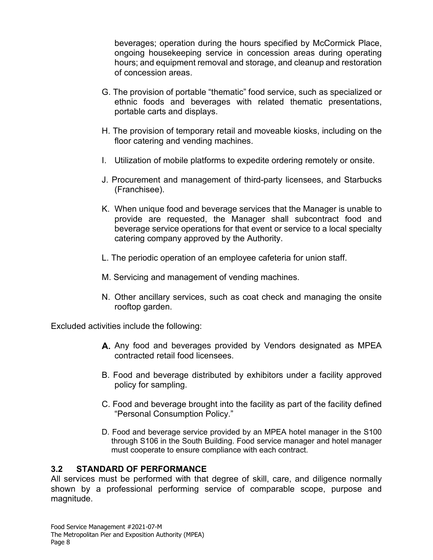beverages; operation during the hours specified by McCormick Place, ongoing housekeeping service in concession areas during operating hours; and equipment removal and storage, and cleanup and restoration of concession areas.

- G. The provision of portable "thematic" food service, such as specialized or ethnic foods and beverages with related thematic presentations, portable carts and displays.
- H. The provision of temporary retail and moveable kiosks, including on the floor catering and vending machines.
- I. Utilization of mobile platforms to expedite ordering remotely or onsite.
- J. Procurement and management of third-party licensees, and Starbucks (Franchisee).
- K. When unique food and beverage services that the Manager is unable to provide are requested, the Manager shall subcontract food and beverage service operations for that event or service to a local specialty catering company approved by the Authority.
- L. The periodic operation of an employee cafeteria for union staff.
- M. Servicing and management of vending machines.
- N. Other ancillary services, such as coat check and managing the onsite rooftop garden.

Excluded activities include the following:

- A. Any food and beverages provided by Vendors designated as MPEA contracted retail food licensees.
- B. Food and beverage distributed by exhibitors under a facility approved policy for sampling.
- C. Food and beverage brought into the facility as part of the facility defined "Personal Consumption Policy."
- D. Food and beverage service provided by an MPEA hotel manager in the S100 through S106 in the South Building. Food service manager and hotel manager must cooperate to ensure compliance with each contract.

### **3.2 STANDARD OF PERFORMANCE**

All services must be performed with that degree of skill, care, and diligence normally shown by a professional performing service of comparable scope, purpose and magnitude.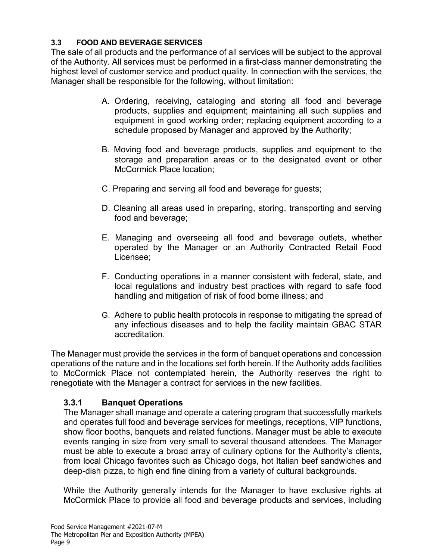### **3.3 FOOD AND BEVERAGE SERVICES**

The sale of all products and the performance of all services will be subject to the approval of the Authority. All services must be performed in a first-class manner demonstrating the highest level of customer service and product quality. In connection with the services, the Manager shall be responsible for the following, without limitation:

- A. Ordering, receiving, cataloging and storing all food and beverage products, supplies and equipment; maintaining all such supplies and equipment in good working order; replacing equipment according to a schedule proposed by Manager and approved by the Authority;
- B. Moving food and beverage products, supplies and equipment to the storage and preparation areas or to the designated event or other McCormick Place location;
- C. Preparing and serving all food and beverage for guests;
- D. Cleaning all areas used in preparing, storing, transporting and serving food and beverage;
- E. Managing and overseeing all food and beverage outlets, whether operated by the Manager or an Authority Contracted Retail Food Licensee;
- F. Conducting operations in a manner consistent with federal, state, and local regulations and industry best practices with regard to safe food handling and mitigation of risk of food borne illness; and
- G. Adhere to public health protocols in response to mitigating the spread of any infectious diseases and to help the facility maintain GBAC STAR accreditation.

The Manager must provide the services in the form of banquet operations and concession operations of the nature and in the locations set forth herein. If the Authority adds facilities to McCormick Place not contemplated herein, the Authority reserves the right to renegotiate with the Manager a contract for services in the new facilities.

# **3.3.1 Banquet Operations**

The Manager shall manage and operate a catering program that successfully markets and operates full food and beverage services for meetings, receptions, VIP functions, show floor booths, banquets and related functions. Manager must be able to execute events ranging in size from very small to several thousand attendees. The Manager must be able to execute a broad array of culinary options for the Authority's clients, from local Chicago favorites such as Chicago dogs, hot Italian beef sandwiches and deep-dish pizza, to high end fine dining from a variety of cultural backgrounds.

While the Authority generally intends for the Manager to have exclusive rights at McCormick Place to provide all food and beverage products and services, including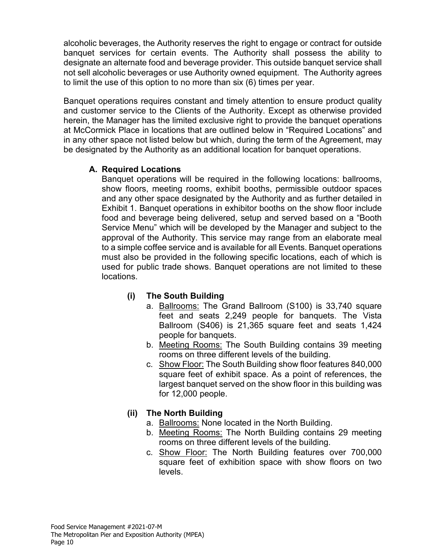alcoholic beverages, the Authority reserves the right to engage or contract for outside banquet services for certain events. The Authority shall possess the ability to designate an alternate food and beverage provider. This outside banquet service shall not sell alcoholic beverages or use Authority owned equipment. The Authority agrees to limit the use of this option to no more than six (6) times per year.

Banquet operations requires constant and timely attention to ensure product quality and customer service to the Clients of the Authority. Except as otherwise provided herein, the Manager has the limited exclusive right to provide the banquet operations at McCormick Place in locations that are outlined below in "Required Locations" and in any other space not listed below but which, during the term of the Agreement, may be designated by the Authority as an additional location for banquet operations.

### **A. Required Locations**

Banquet operations will be required in the following locations: ballrooms, show floors, meeting rooms, exhibit booths, permissible outdoor spaces and any other space designated by the Authority and as further detailed in Exhibit 1. Banquet operations in exhibitor booths on the show floor include food and beverage being delivered, setup and served based on a "Booth Service Menu" which will be developed by the Manager and subject to the approval of the Authority. This service may range from an elaborate meal to a simple coffee service and is available for all Events. Banquet operations must also be provided in the following specific locations, each of which is used for public trade shows. Banquet operations are not limited to these locations.

### **(i) The South Building**

- a. Ballrooms: The Grand Ballroom (S100) is 33,740 square feet and seats 2,249 people for banquets. The Vista Ballroom (S406) is 21,365 square feet and seats 1,424 people for banquets.
- b. Meeting Rooms: The South Building contains 39 meeting rooms on three different levels of the building.
- c. Show Floor: The South Building show floor features 840,000 square feet of exhibit space. As a point of references, the largest banquet served on the show floor in this building was for 12,000 people.

### **(ii) The North Building**

- a. Ballrooms: None located in the North Building.
- b. Meeting Rooms: The North Building contains 29 meeting rooms on three different levels of the building.
- c. Show Floor: The North Building features over 700,000 square feet of exhibition space with show floors on two levels.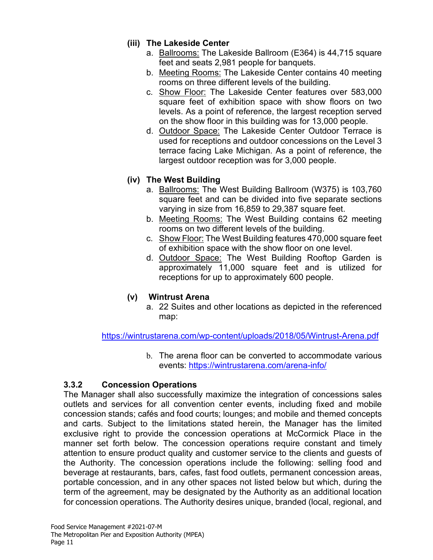### **(iii) The Lakeside Center**

- a. Ballrooms: The Lakeside Ballroom (E364) is 44,715 square feet and seats 2,981 people for banquets.
- b. Meeting Rooms: The Lakeside Center contains 40 meeting rooms on three different levels of the building.
- c. Show Floor: The Lakeside Center features over 583,000 square feet of exhibition space with show floors on two levels. As a point of reference, the largest reception served on the show floor in this building was for 13,000 people.
- d. Outdoor Space: The Lakeside Center Outdoor Terrace is used for receptions and outdoor concessions on the Level 3 terrace facing Lake Michigan. As a point of reference, the largest outdoor reception was for 3,000 people.

# **(iv) The West Building**

- a. Ballrooms: The West Building Ballroom (W375) is 103,760 square feet and can be divided into five separate sections varying in size from 16,859 to 29,387 square feet.
- b. Meeting Rooms: The West Building contains 62 meeting rooms on two different levels of the building.
- c. Show Floor: The West Building features 470,000 square feet of exhibition space with the show floor on one level.
- d. Outdoor Space: The West Building Rooftop Garden is approximately 11,000 square feet and is utilized for receptions for up to approximately 600 people.

# **(v) Wintrust Arena**

a. 22 Suites and other locations as depicted in the referenced map:

<https://wintrustarena.com/wp-content/uploads/2018/05/Wintrust-Arena.pdf>

b. The arena floor can be converted to accommodate various events:<https://wintrustarena.com/arena-info/>

# **3.3.2 Concession Operations**

The Manager shall also successfully maximize the integration of concessions sales outlets and services for all convention center events, including fixed and mobile concession stands; cafés and food courts; lounges; and mobile and themed concepts and carts. Subject to the limitations stated herein, the Manager has the limited exclusive right to provide the concession operations at McCormick Place in the manner set forth below. The concession operations require constant and timely attention to ensure product quality and customer service to the clients and guests of the Authority. The concession operations include the following: selling food and beverage at restaurants, bars, cafes, fast food outlets, permanent concession areas, portable concession, and in any other spaces not listed below but which, during the term of the agreement, may be designated by the Authority as an additional location for concession operations. The Authority desires unique, branded (local, regional, and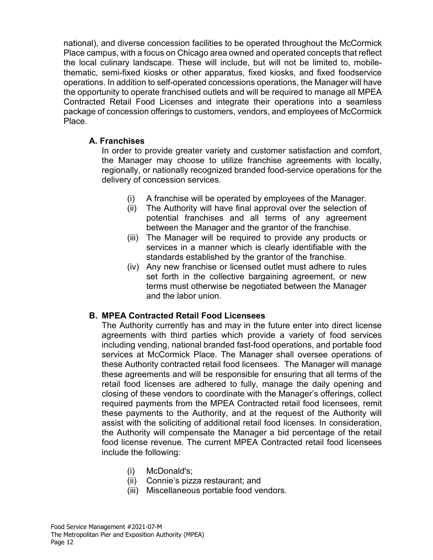national), and diverse concession facilities to be operated throughout the McCormick Place campus, with a focus on Chicago area owned and operated concepts that reflect the local culinary landscape. These will include, but will not be limited to, mobilethematic, semi-fixed kiosks or other apparatus, fixed kiosks, and fixed foodservice operations. In addition to self-operated concessions operations, the Manager will have the opportunity to operate franchised outlets and will be required to manage all MPEA Contracted Retail Food Licenses and integrate their operations into a seamless package of concession offerings to customers, vendors, and employees of McCormick Place.

### **A. Franchises**

In order to provide greater variety and customer satisfaction and comfort, the Manager may choose to utilize franchise agreements with locally, regionally, or nationally recognized branded food-service operations for the delivery of concession services.

- (i) A franchise will be operated by employees of the Manager.
- (ii) The Authority will have final approval over the selection of potential franchises and all terms of any agreement between the Manager and the grantor of the franchise.
- (iii) The Manager will be required to provide any products or services in a manner which is clearly identifiable with the standards established by the grantor of the franchise.
- (iv) Any new franchise or licensed outlet must adhere to rules set forth in the collective bargaining agreement, or new terms must otherwise be negotiated between the Manager and the labor union.

### **B. MPEA Contracted Retail Food Licensees**

The Authority currently has and may in the future enter into direct license agreements with third parties which provide a variety of food services including vending, national branded fast-food operations, and portable food services at McCormick Place. The Manager shall oversee operations of these Authority contracted retail food licensees. The Manager will manage these agreements and will be responsible for ensuring that all terms of the retail food licenses are adhered to fully, manage the daily opening and closing of these vendors to coordinate with the Manager's offerings, collect required payments from the MPEA Contracted retail food licensees, remit these payments to the Authority, and at the request of the Authority will assist with the soliciting of additional retail food licenses. In consideration, the Authority will compensate the Manager a bid percentage of the retail food license revenue. The current MPEA Contracted retail food licensees include the following:

- (i) McDonald's;
- (ii) Connie's pizza restaurant; and
- (iii) Miscellaneous portable food vendors.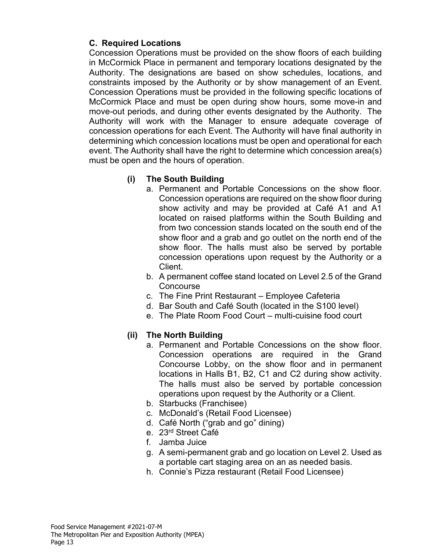### **C. Required Locations**

Concession Operations must be provided on the show floors of each building in McCormick Place in permanent and temporary locations designated by the Authority. The designations are based on show schedules, locations, and constraints imposed by the Authority or by show management of an Event. Concession Operations must be provided in the following specific locations of McCormick Place and must be open during show hours, some move-in and move-out periods, and during other events designated by the Authority. The Authority will work with the Manager to ensure adequate coverage of concession operations for each Event. The Authority will have final authority in determining which concession locations must be open and operational for each event. The Authority shall have the right to determine which concession area(s) must be open and the hours of operation.

### **(i) The South Building**

- a. Permanent and Portable Concessions on the show floor. Concession operations are required on the show floor during show activity and may be provided at Café A1 and A1 located on raised platforms within the South Building and from two concession stands located on the south end of the show floor and a grab and go outlet on the north end of the show floor. The halls must also be served by portable concession operations upon request by the Authority or a Client.
- b. A permanent coffee stand located on Level 2.5 of the Grand **Concourse**
- c. The Fine Print Restaurant Employee Cafeteria
- d. Bar South and Café South (located in the S100 level)
- e. The Plate Room Food Court multi-cuisine food court

### **(ii) The North Building**

- a. Permanent and Portable Concessions on the show floor. Concession operations are required in the Grand Concourse Lobby, on the show floor and in permanent locations in Halls B1, B2, C1 and C2 during show activity. The halls must also be served by portable concession operations upon request by the Authority or a Client.
- b. Starbucks (Franchisee)
- c. McDonald's (Retail Food Licensee)
- d. Café North ("grab and go" dining)
- e. 23rd Street Café
- f. Jamba Juice
- g. A semi-permanent grab and go location on Level 2. Used as a portable cart staging area on an as needed basis.
- h. Connie's Pizza restaurant (Retail Food Licensee)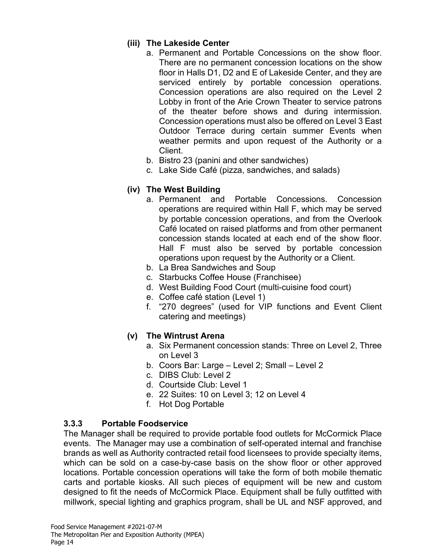### **(iii) The Lakeside Center**

- a. Permanent and Portable Concessions on the show floor. There are no permanent concession locations on the show floor in Halls D1, D2 and E of Lakeside Center, and they are serviced entirely by portable concession operations. Concession operations are also required on the Level 2 Lobby in front of the Arie Crown Theater to service patrons of the theater before shows and during intermission. Concession operations must also be offered on Level 3 East Outdoor Terrace during certain summer Events when weather permits and upon request of the Authority or a Client.
- b. Bistro 23 (panini and other sandwiches)
- c. Lake Side Café (pizza, sandwiches, and salads)

# **(iv) The West Building**

- a. Permanent and Portable Concessions. Concession operations are required within Hall F, which may be served by portable concession operations, and from the Overlook Café located on raised platforms and from other permanent concession stands located at each end of the show floor. Hall F must also be served by portable concession operations upon request by the Authority or a Client.
- b. La Brea Sandwiches and Soup
- c. Starbucks Coffee House (Franchisee)
- d. West Building Food Court (multi-cuisine food court)
- e. Coffee café station (Level 1)
- f. "270 degrees" (used for VIP functions and Event Client catering and meetings)
- **(v) The Wintrust Arena**
	- a. Six Permanent concession stands: Three on Level 2, Three on Level 3
	- b. Coors Bar: Large Level 2; Small Level 2
	- c. DIBS Club: Level 2
	- d. Courtside Club: Level 1
	- e. 22 Suites: 10 on Level 3; 12 on Level 4
	- f. Hot Dog Portable

# **3.3.3 Portable Foodservice**

The Manager shall be required to provide portable food outlets for McCormick Place events. The Manager may use a combination of self-operated internal and franchise brands as well as Authority contracted retail food licensees to provide specialty items, which can be sold on a case-by-case basis on the show floor or other approved locations. Portable concession operations will take the form of both mobile thematic carts and portable kiosks. All such pieces of equipment will be new and custom designed to fit the needs of McCormick Place. Equipment shall be fully outfitted with millwork, special lighting and graphics program, shall be UL and NSF approved, and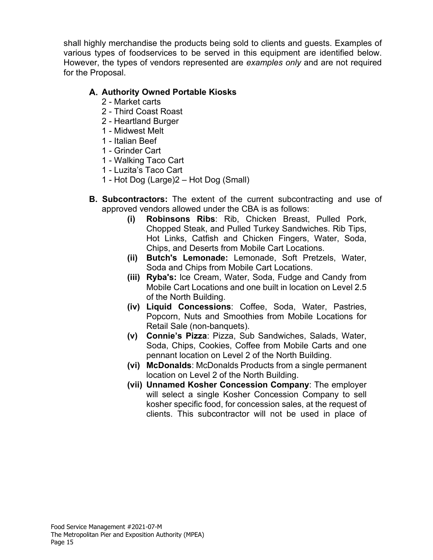shall highly merchandise the products being sold to clients and guests. Examples of various types of foodservices to be served in this equipment are identified below. However, the types of vendors represented are *examples only* and are not required for the Proposal.

### **Authority Owned Portable Kiosks**

- 2 Market carts
- 2 Third Coast Roast
- 2 Heartland Burger
- 1 Midwest Melt
- 1 Italian Beef
- 1 Grinder Cart
- 1 Walking Taco Cart
- 1 Luzita's Taco Cart
- 1 Hot Dog (Large)2 Hot Dog (Small)
- **B. Subcontractors:** The extent of the current subcontracting and use of approved vendors allowed under the CBA is as follows:
	- **(i) Robinsons Ribs**: Rib, Chicken Breast, Pulled Pork, Chopped Steak, and Pulled Turkey Sandwiches. Rib Tips, Hot Links, Catfish and Chicken Fingers, Water, Soda, Chips, and Deserts from Mobile Cart Locations.
	- **(ii) Butch's Lemonade:** Lemonade, Soft Pretzels, Water, Soda and Chips from Mobile Cart Locations.
	- **(iii) Ryba's:** lce Cream, Water, Soda, Fudge and Candy from Mobile Cart Locations and one built in location on Level 2.5 of the North Building.
	- **(iv) Liquid Concessions**: Coffee, Soda, Water, Pastries, Popcorn, Nuts and Smoothies from Mobile Locations for Retail Sale (non-banquets).
	- **(v) Connie's Pizza**: Pizza, Sub Sandwiches, Salads, Water, Soda, Chips, Cookies, Coffee from Mobile Carts and one pennant location on Level 2 of the North Building.
	- **(vi) McDonalds**: McDonalds Products from a single permanent location on Level 2 of the North Building.
	- **(vii) Unnamed Kosher Concession Company**: The employer will select a single Kosher Concession Company to sell kosher specific food, for concession sales, at the request of clients. This subcontractor will not be used in place of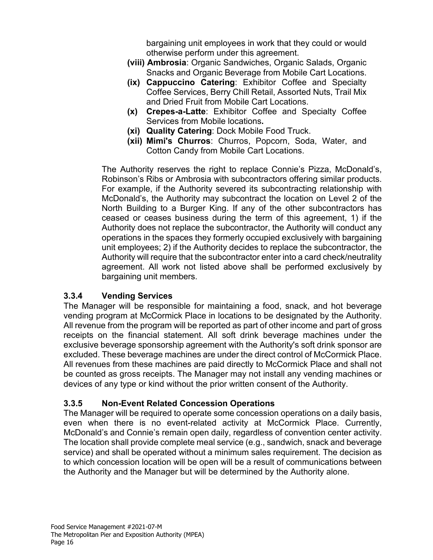bargaining unit employees in work that they could or would otherwise perform under this agreement.

- **(viii) Ambrosia**: Organic Sandwiches, Organic Salads, Organic Snacks and Organic Beverage from Mobile Cart Locations.
- **(ix) Cappuccino Catering**: Exhibitor Coffee and Specialty Coffee Services, Berry Chill Retail, Assorted Nuts, Trail Mix and Dried Fruit from Mobile Cart Locations.
- **(x) Crepes-a-Latte**: Exhibitor Coffee and Specialty Coffee Services from Mobile locations**.**
- **(xi) Quality Catering**: Dock Mobile Food Truck.
- **(xii) Mimi's Churros**: Churros, Popcorn, Soda, Water, and Cotton Candy from Mobile Cart Locations.

The Authority reserves the right to replace Connie's Pizza, McDonald's, Robinson's Ribs or Ambrosia with subcontractors offering similar products. For example, if the Authority severed its subcontracting relationship with McDonald's, the Authority may subcontract the location on Level 2 of the North Building to a Burger King. If any of the other subcontractors has ceased or ceases business during the term of this agreement, 1) if the Authority does not replace the subcontractor, the Authority will conduct any operations in the spaces they formerly occupied exclusively with bargaining unit employees; 2) if the Authority decides to replace the subcontractor, the Authority will require that the subcontractor enter into a card check/neutrality agreement. All work not listed above shall be performed exclusively by bargaining unit members.

# **3.3.4 Vending Services**

The Manager will be responsible for maintaining a food, snack, and hot beverage vending program at McCormick Place in locations to be designated by the Authority. All revenue from the program will be reported as part of other income and part of gross receipts on the financial statement. All soft drink beverage machines under the exclusive beverage sponsorship agreement with the Authority's soft drink sponsor are excluded. These beverage machines are under the direct control of McCormick Place. All revenues from these machines are paid directly to McCormick Place and shall not be counted as gross receipts. The Manager may not install any vending machines or devices of any type or kind without the prior written consent of the Authority.

# **3.3.5 Non-Event Related Concession Operations**

The Manager will be required to operate some concession operations on a daily basis, even when there is no event-related activity at McCormick Place. Currently, McDonald's and Connie's remain open daily, regardless of convention center activity. The location shall provide complete meal service (e.g., sandwich, snack and beverage service) and shall be operated without a minimum sales requirement. The decision as to which concession location will be open will be a result of communications between the Authority and the Manager but will be determined by the Authority alone.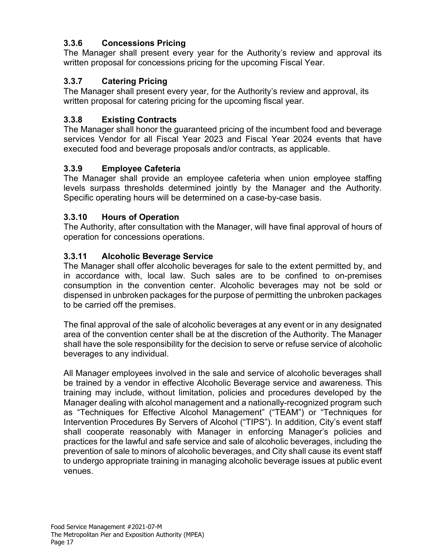# **3.3.6 Concessions Pricing**

The Manager shall present every year for the Authority's review and approval its written proposal for concessions pricing for the upcoming Fiscal Year.

# **3.3.7 Catering Pricing**

The Manager shall present every year, for the Authority's review and approval, its written proposal for catering pricing for the upcoming fiscal year.

# **3.3.8 Existing Contracts**

The Manager shall honor the guaranteed pricing of the incumbent food and beverage services Vendor for all Fiscal Year 2023 and Fiscal Year 2024 events that have executed food and beverage proposals and/or contracts, as applicable.

### **3.3.9 Employee Cafeteria**

The Manager shall provide an employee cafeteria when union employee staffing levels surpass thresholds determined jointly by the Manager and the Authority. Specific operating hours will be determined on a case-by-case basis.

### **3.3.10 Hours of Operation**

The Authority, after consultation with the Manager, will have final approval of hours of operation for concessions operations.

### **3.3.11 Alcoholic Beverage Service**

The Manager shall offer alcoholic beverages for sale to the extent permitted by, and in accordance with, local law. Such sales are to be confined to on-premises consumption in the convention center. Alcoholic beverages may not be sold or dispensed in unbroken packages for the purpose of permitting the unbroken packages to be carried off the premises.

The final approval of the sale of alcoholic beverages at any event or in any designated area of the convention center shall be at the discretion of the Authority. The Manager shall have the sole responsibility for the decision to serve or refuse service of alcoholic beverages to any individual.

All Manager employees involved in the sale and service of alcoholic beverages shall be trained by a vendor in effective Alcoholic Beverage service and awareness. This training may include, without limitation, policies and procedures developed by the Manager dealing with alcohol management and a nationally-recognized program such as "Techniques for Effective Alcohol Management" ("TEAM") or "Techniques for Intervention Procedures By Servers of Alcohol ("TIPS"). In addition, City's event staff shall cooperate reasonably with Manager in enforcing Manager's policies and practices for the lawful and safe service and sale of alcoholic beverages, including the prevention of sale to minors of alcoholic beverages, and City shall cause its event staff to undergo appropriate training in managing alcoholic beverage issues at public event venues.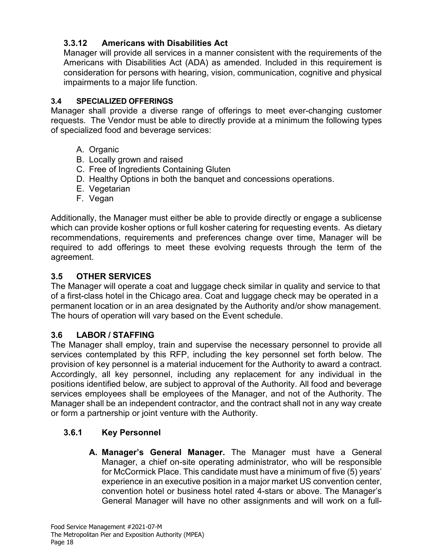# **3.3.12 Americans with Disabilities Act**

Manager will provide all services in a manner consistent with the requirements of the Americans with Disabilities Act (ADA) as amended. Included in this requirement is consideration for persons with hearing, vision, communication, cognitive and physical impairments to a major life function.

# **3.4 SPECIALIZED OFFERINGS**

Manager shall provide a diverse range of offerings to meet ever-changing customer requests. The Vendor must be able to directly provide at a minimum the following types of specialized food and beverage services:

- A. Organic
- B. Locally grown and raised
- C. Free of Ingredients Containing Gluten
- D. Healthy Options in both the banquet and concessions operations.
- E. Vegetarian
- F. Vegan

Additionally, the Manager must either be able to provide directly or engage a sublicense which can provide kosher options or full kosher catering for requesting events. As dietary recommendations, requirements and preferences change over time, Manager will be required to add offerings to meet these evolving requests through the term of the agreement.

# **3.5 OTHER SERVICES**

The Manager will operate a coat and luggage check similar in quality and service to that of a first-class hotel in the Chicago area. Coat and luggage check may be operated in a permanent location or in an area designated by the Authority and/or show management. The hours of operation will vary based on the Event schedule.

# **3.6 LABOR / STAFFING**

The Manager shall employ, train and supervise the necessary personnel to provide all services contemplated by this RFP, including the key personnel set forth below. The provision of key personnel is a material inducement for the Authority to award a contract. Accordingly, all key personnel, including any replacement for any individual in the positions identified below, are subject to approval of the Authority. All food and beverage services employees shall be employees of the Manager, and not of the Authority. The Manager shall be an independent contractor, and the contract shall not in any way create or form a partnership or joint venture with the Authority.

# **3.6.1 Key Personnel**

**A. Manager's General Manager.** The Manager must have a General Manager, a chief on-site operating administrator, who will be responsible for McCormick Place. This candidate must have a minimum of five (5) years' experience in an executive position in a major market US convention center, convention hotel or business hotel rated 4-stars or above. The Manager's General Manager will have no other assignments and will work on a full-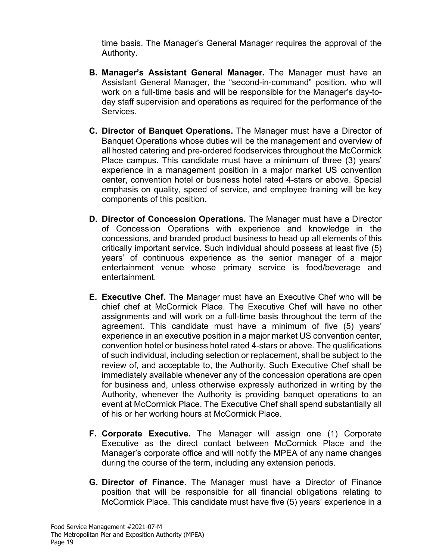time basis. The Manager's General Manager requires the approval of the Authority.

- **B. Manager's Assistant General Manager.** The Manager must have an Assistant General Manager, the "second-in-command" position, who will work on a full-time basis and will be responsible for the Manager's day-today staff supervision and operations as required for the performance of the Services.
- **C. Director of Banquet Operations.** The Manager must have a Director of Banquet Operations whose duties will be the management and overview of all hosted catering and pre-ordered foodservices throughout the McCormick Place campus. This candidate must have a minimum of three (3) years' experience in a management position in a major market US convention center, convention hotel or business hotel rated 4-stars or above. Special emphasis on quality, speed of service, and employee training will be key components of this position.
- **D. Director of Concession Operations.** The Manager must have a Director of Concession Operations with experience and knowledge in the concessions, and branded product business to head up all elements of this critically important service. Such individual should possess at least five (5) years' of continuous experience as the senior manager of a major entertainment venue whose primary service is food/beverage and entertainment.
- **E. Executive Chef.** The Manager must have an Executive Chef who will be chief chef at McCormick Place. The Executive Chef will have no other assignments and will work on a full-time basis throughout the term of the agreement. This candidate must have a minimum of five (5) years' experience in an executive position in a major market US convention center, convention hotel or business hotel rated 4-stars or above. The qualifications of such individual, including selection or replacement, shall be subject to the review of, and acceptable to, the Authority. Such Executive Chef shall be immediately available whenever any of the concession operations are open for business and, unless otherwise expressly authorized in writing by the Authority, whenever the Authority is providing banquet operations to an event at McCormick Place. The Executive Chef shall spend substantially all of his or her working hours at McCormick Place.
- **F. Corporate Executive.** The Manager will assign one (1) Corporate Executive as the direct contact between McCormick Place and the Manager's corporate office and will notify the MPEA of any name changes during the course of the term, including any extension periods.
- **G. Director of Finance**. The Manager must have a Director of Finance position that will be responsible for all financial obligations relating to McCormick Place. This candidate must have five (5) years' experience in a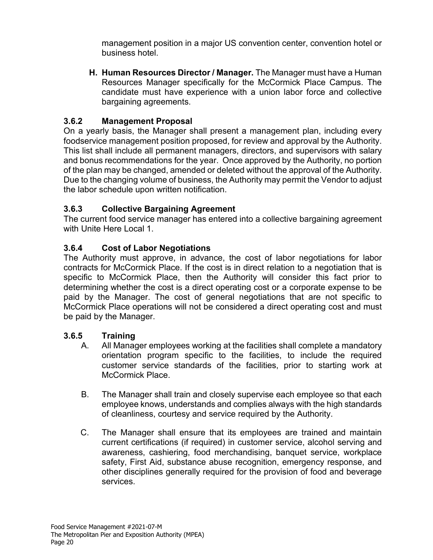management position in a major US convention center, convention hotel or business hotel.

**H. Human Resources Director / Manager.** The Manager must have a Human Resources Manager specifically for the McCormick Place Campus. The candidate must have experience with a union labor force and collective bargaining agreements.

# **3.6.2 Management Proposal**

On a yearly basis, the Manager shall present a management plan, including every foodservice management position proposed, for review and approval by the Authority. This list shall include all permanent managers, directors, and supervisors with salary and bonus recommendations for the year. Once approved by the Authority, no portion of the plan may be changed, amended or deleted without the approval of the Authority. Due to the changing volume of business, the Authority may permit the Vendor to adjust the labor schedule upon written notification.

# **3.6.3 Collective Bargaining Agreement**

The current food service manager has entered into a collective bargaining agreement with Unite Here Local 1.

# **3.6.4 Cost of Labor Negotiations**

The Authority must approve, in advance, the cost of labor negotiations for labor contracts for McCormick Place. If the cost is in direct relation to a negotiation that is specific to McCormick Place, then the Authority will consider this fact prior to determining whether the cost is a direct operating cost or a corporate expense to be paid by the Manager. The cost of general negotiations that are not specific to McCormick Place operations will not be considered a direct operating cost and must be paid by the Manager.

# **3.6.5 Training**

- A. All Manager employees working at the facilities shall complete a mandatory orientation program specific to the facilities, to include the required customer service standards of the facilities, prior to starting work at McCormick Place.
- B. The Manager shall train and closely supervise each employee so that each employee knows, understands and complies always with the high standards of cleanliness, courtesy and service required by the Authority.
- C. The Manager shall ensure that its employees are trained and maintain current certifications (if required) in customer service, alcohol serving and awareness, cashiering, food merchandising, banquet service, workplace safety, First Aid, substance abuse recognition, emergency response, and other disciplines generally required for the provision of food and beverage services.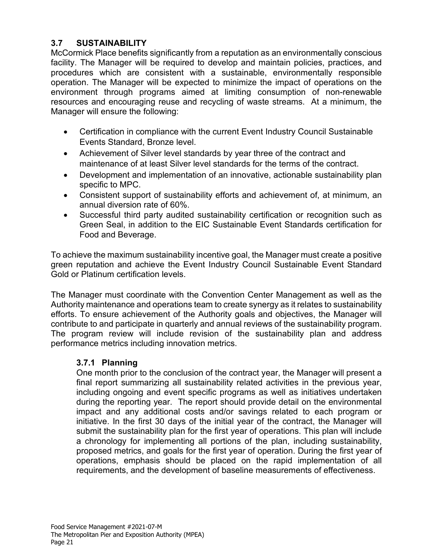### **3.7 SUSTAINABILITY**

McCormick Place benefits significantly from a reputation as an environmentally conscious facility. The Manager will be required to develop and maintain policies, practices, and procedures which are consistent with a sustainable, environmentally responsible operation. The Manager will be expected to minimize the impact of operations on the environment through programs aimed at limiting consumption of non-renewable resources and encouraging reuse and recycling of waste streams. At a minimum, the Manager will ensure the following:

- Certification in compliance with the current Event Industry Council Sustainable Events Standard, Bronze level.
- Achievement of Silver level standards by year three of the contract and maintenance of at least Silver level standards for the terms of the contract.
- Development and implementation of an innovative, actionable sustainability plan specific to MPC.
- Consistent support of sustainability efforts and achievement of, at minimum, an annual diversion rate of 60%.
- Successful third party audited sustainability certification or recognition such as Green Seal, in addition to the EIC Sustainable Event Standards certification for Food and Beverage.

To achieve the maximum sustainability incentive goal, the Manager must create a positive green reputation and achieve the Event Industry Council Sustainable Event Standard Gold or Platinum certification levels.

The Manager must coordinate with the Convention Center Management as well as the Authority maintenance and operations team to create synergy as it relates to sustainability efforts. To ensure achievement of the Authority goals and objectives, the Manager will contribute to and participate in quarterly and annual reviews of the sustainability program. The program review will include revision of the sustainability plan and address performance metrics including innovation metrics.

### **3.7.1 Planning**

One month prior to the conclusion of the contract year, the Manager will present a final report summarizing all sustainability related activities in the previous year, including ongoing and event specific programs as well as initiatives undertaken during the reporting year. The report should provide detail on the environmental impact and any additional costs and/or savings related to each program or initiative. In the first 30 days of the initial year of the contract, the Manager will submit the sustainability plan for the first year of operations. This plan will include a chronology for implementing all portions of the plan, including sustainability, proposed metrics, and goals for the first year of operation. During the first year of operations, emphasis should be placed on the rapid implementation of all requirements, and the development of baseline measurements of effectiveness.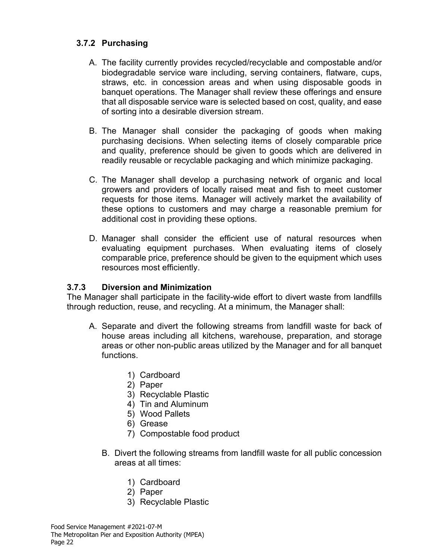### **3.7.2 Purchasing**

- A. The facility currently provides recycled/recyclable and compostable and/or biodegradable service ware including, serving containers, flatware, cups, straws, etc. in concession areas and when using disposable goods in banquet operations. The Manager shall review these offerings and ensure that all disposable service ware is selected based on cost, quality, and ease of sorting into a desirable diversion stream.
- B. The Manager shall consider the packaging of goods when making purchasing decisions. When selecting items of closely comparable price and quality, preference should be given to goods which are delivered in readily reusable or recyclable packaging and which minimize packaging.
- C. The Manager shall develop a purchasing network of organic and local growers and providers of locally raised meat and fish to meet customer requests for those items. Manager will actively market the availability of these options to customers and may charge a reasonable premium for additional cost in providing these options.
- D. Manager shall consider the efficient use of natural resources when evaluating equipment purchases. When evaluating items of closely comparable price, preference should be given to the equipment which uses resources most efficiently.

### **3.7.3 Diversion and Minimization**

The Manager shall participate in the facility-wide effort to divert waste from landfills through reduction, reuse, and recycling. At a minimum, the Manager shall:

- A. Separate and divert the following streams from landfill waste for back of house areas including all kitchens, warehouse, preparation, and storage areas or other non-public areas utilized by the Manager and for all banquet functions.
	- 1) Cardboard
	- 2) Paper
	- 3) Recyclable Plastic
	- 4) Tin and Aluminum
	- 5) Wood Pallets
	- 6) Grease
	- 7) Compostable food product
	- B. Divert the following streams from landfill waste for all public concession areas at all times:
		- 1) Cardboard
		- 2) Paper
		- 3) Recyclable Plastic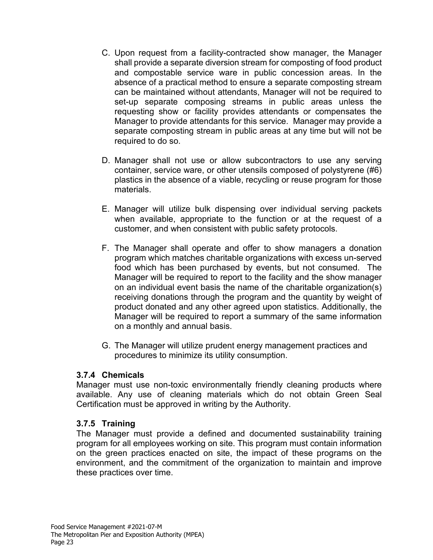- C. Upon request from a facility-contracted show manager, the Manager shall provide a separate diversion stream for composting of food product and compostable service ware in public concession areas. In the absence of a practical method to ensure a separate composting stream can be maintained without attendants, Manager will not be required to set-up separate composing streams in public areas unless the requesting show or facility provides attendants or compensates the Manager to provide attendants for this service. Manager may provide a separate composting stream in public areas at any time but will not be required to do so.
- D. Manager shall not use or allow subcontractors to use any serving container, service ware, or other utensils composed of polystyrene (#6) plastics in the absence of a viable, recycling or reuse program for those materials.
- E. Manager will utilize bulk dispensing over individual serving packets when available, appropriate to the function or at the request of a customer, and when consistent with public safety protocols.
- F. The Manager shall operate and offer to show managers a donation program which matches charitable organizations with excess un-served food which has been purchased by events, but not consumed. The Manager will be required to report to the facility and the show manager on an individual event basis the name of the charitable organization(s) receiving donations through the program and the quantity by weight of product donated and any other agreed upon statistics. Additionally, the Manager will be required to report a summary of the same information on a monthly and annual basis.
- G. The Manager will utilize prudent energy management practices and procedures to minimize its utility consumption.

#### **3.7.4 Chemicals**

Manager must use non-toxic environmentally friendly cleaning products where available. Any use of cleaning materials which do not obtain Green Seal Certification must be approved in writing by the Authority.

#### **3.7.5 Training**

The Manager must provide a defined and documented sustainability training program for all employees working on site. This program must contain information on the green practices enacted on site, the impact of these programs on the environment, and the commitment of the organization to maintain and improve these practices over time.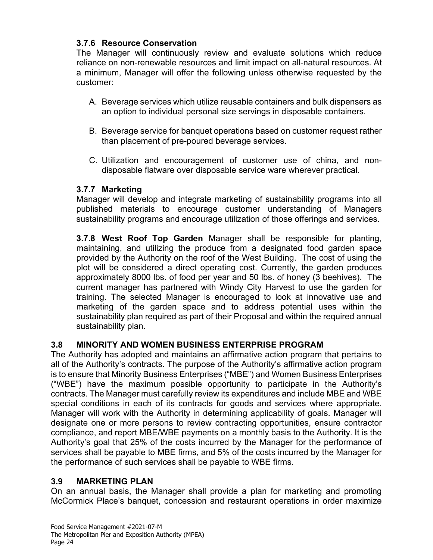### **3.7.6 Resource Conservation**

The Manager will continuously review and evaluate solutions which reduce reliance on non-renewable resources and limit impact on all-natural resources. At a minimum, Manager will offer the following unless otherwise requested by the customer:

- A. Beverage services which utilize reusable containers and bulk dispensers as an option to individual personal size servings in disposable containers.
- B. Beverage service for banquet operations based on customer request rather than placement of pre-poured beverage services.
- C. Utilization and encouragement of customer use of china, and nondisposable flatware over disposable service ware wherever practical.

### **3.7.7 Marketing**

Manager will develop and integrate marketing of sustainability programs into all published materials to encourage customer understanding of Managers sustainability programs and encourage utilization of those offerings and services.

**3.7.8 West Roof Top Garden** Manager shall be responsible for planting, maintaining, and utilizing the produce from a designated food garden space provided by the Authority on the roof of the West Building. The cost of using the plot will be considered a direct operating cost. Currently, the garden produces approximately 8000 lbs. of food per year and 50 lbs. of honey (3 beehives). The current manager has partnered with Windy City Harvest to use the garden for training. The selected Manager is encouraged to look at innovative use and marketing of the garden space and to address potential uses within the sustainability plan required as part of their Proposal and within the required annual sustainability plan.

# **3.8 MINORITY AND WOMEN BUSINESS ENTERPRISE PROGRAM**

The Authority has adopted and maintains an affirmative action program that pertains to all of the Authority's contracts. The purpose of the Authority's affirmative action program is to ensure that Minority Business Enterprises ("MBE") and Women Business Enterprises ("WBE") have the maximum possible opportunity to participate in the Authority's contracts. The Manager must carefully review its expenditures and include MBE and WBE special conditions in each of its contracts for goods and services where appropriate. Manager will work with the Authority in determining applicability of goals. Manager will designate one or more persons to review contracting opportunities, ensure contractor compliance, and report MBE/WBE payments on a monthly basis to the Authority. It is the Authority's goal that 25% of the costs incurred by the Manager for the performance of services shall be payable to MBE firms, and 5% of the costs incurred by the Manager for the performance of such services shall be payable to WBE firms.

### **3.9 MARKETING PLAN**

On an annual basis, the Manager shall provide a plan for marketing and promoting McCormick Place's banquet, concession and restaurant operations in order maximize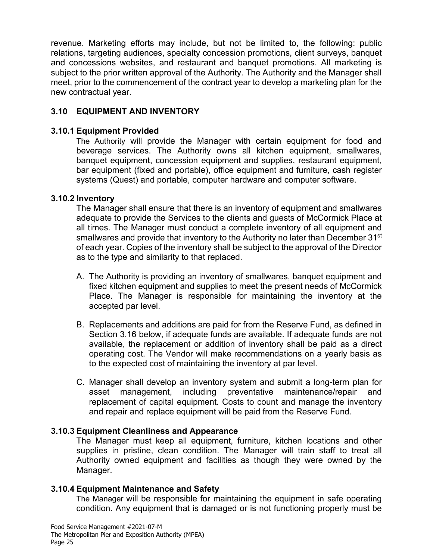revenue. Marketing efforts may include, but not be limited to, the following: public relations, targeting audiences, specialty concession promotions, client surveys, banquet and concessions websites, and restaurant and banquet promotions. All marketing is subject to the prior written approval of the Authority. The Authority and the Manager shall meet, prior to the commencement of the contract year to develop a marketing plan for the new contractual year.

# **3.10 EQUIPMENT AND INVENTORY**

### **3.10.1 Equipment Provided**

The Authority will provide the Manager with certain equipment for food and beverage services. The Authority owns all kitchen equipment, smallwares, banquet equipment, concession equipment and supplies, restaurant equipment, bar equipment (fixed and portable), office equipment and furniture, cash register systems (Quest) and portable, computer hardware and computer software.

### **3.10.2 Inventory**

The Manager shall ensure that there is an inventory of equipment and smallwares adequate to provide the Services to the clients and guests of McCormick Place at all times. The Manager must conduct a complete inventory of all equipment and smallwares and provide that inventory to the Authority no later than December 31<sup>st</sup> of each year. Copies of the inventory shall be subject to the approval of the Director as to the type and similarity to that replaced.

- A. The Authority is providing an inventory of smallwares, banquet equipment and fixed kitchen equipment and supplies to meet the present needs of McCormick Place. The Manager is responsible for maintaining the inventory at the accepted par level.
- B. Replacements and additions are paid for from the Reserve Fund, as defined in Section 3.16 below, if adequate funds are available. If adequate funds are not available, the replacement or addition of inventory shall be paid as a direct operating cost. The Vendor will make recommendations on a yearly basis as to the expected cost of maintaining the inventory at par level.
- C. Manager shall develop an inventory system and submit a long-term plan for asset management, including preventative maintenance/repair and replacement of capital equipment. Costs to count and manage the inventory and repair and replace equipment will be paid from the Reserve Fund.

### **3.10.3 Equipment Cleanliness and Appearance**

The Manager must keep all equipment, furniture, kitchen locations and other supplies in pristine, clean condition. The Manager will train staff to treat all Authority owned equipment and facilities as though they were owned by the Manager.

# **3.10.4 Equipment Maintenance and Safety**

The Manager will be responsible for maintaining the equipment in safe operating condition. Any equipment that is damaged or is not functioning properly must be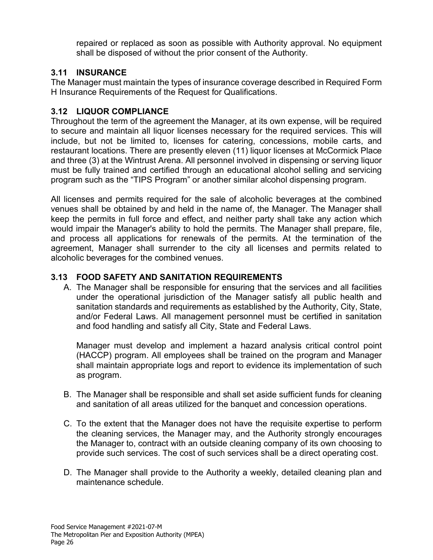repaired or replaced as soon as possible with Authority approval. No equipment shall be disposed of without the prior consent of the Authority.

# **3.11 INSURANCE**

The Manager must maintain the types of insurance coverage described in Required Form H Insurance Requirements of the Request for Qualifications.

### **3.12 LIQUOR COMPLIANCE**

Throughout the term of the agreement the Manager, at its own expense, will be required to secure and maintain all liquor licenses necessary for the required services. This will include, but not be limited to, licenses for catering, concessions, mobile carts, and restaurant locations. There are presently eleven (11) liquor licenses at McCormick Place and three (3) at the Wintrust Arena. All personnel involved in dispensing or serving liquor must be fully trained and certified through an educational alcohol selling and servicing program such as the "TIPS Program" or another similar alcohol dispensing program.

All licenses and permits required for the sale of alcoholic beverages at the combined venues shall be obtained by and held in the name of, the Manager. The Manager shall keep the permits in full force and effect, and neither party shall take any action which would impair the Manager's ability to hold the permits. The Manager shall prepare, file, and process all applications for renewals of the permits. At the termination of the agreement, Manager shall surrender to the city all licenses and permits related to alcoholic beverages for the combined venues.

### **3.13 FOOD SAFETY AND SANITATION REQUIREMENTS**

A. The Manager shall be responsible for ensuring that the services and all facilities under the operational jurisdiction of the Manager satisfy all public health and sanitation standards and requirements as established by the Authority, City, State, and/or Federal Laws. All management personnel must be certified in sanitation and food handling and satisfy all City, State and Federal Laws.

Manager must develop and implement a hazard analysis critical control point (HACCP) program. All employees shall be trained on the program and Manager shall maintain appropriate logs and report to evidence its implementation of such as program.

- B. The Manager shall be responsible and shall set aside sufficient funds for cleaning and sanitation of all areas utilized for the banquet and concession operations.
- C. To the extent that the Manager does not have the requisite expertise to perform the cleaning services, the Manager may, and the Authority strongly encourages the Manager to, contract with an outside cleaning company of its own choosing to provide such services. The cost of such services shall be a direct operating cost.
- D. The Manager shall provide to the Authority a weekly, detailed cleaning plan and maintenance schedule.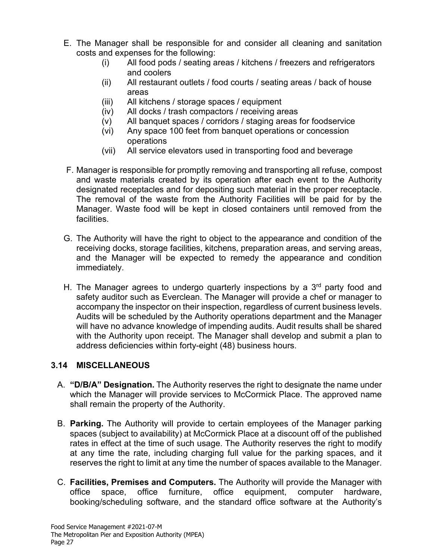- E. The Manager shall be responsible for and consider all cleaning and sanitation costs and expenses for the following:
	- (i) All food pods / seating areas / kitchens / freezers and refrigerators and coolers
	- (ii) All restaurant outlets / food courts / seating areas / back of house areas
	- (iii) All kitchens / storage spaces / equipment
	- (iv) All docks / trash compactors / receiving areas
	- (v) All banquet spaces / corridors / staging areas for foodservice
	- (vi) Any space 100 feet from banquet operations or concession operations
	- (vii) All service elevators used in transporting food and beverage
- F. Manager is responsible for promptly removing and transporting all refuse, compost and waste materials created by its operation after each event to the Authority designated receptacles and for depositing such material in the proper receptacle. The removal of the waste from the Authority Facilities will be paid for by the Manager. Waste food will be kept in closed containers until removed from the facilities.
- G. The Authority will have the right to object to the appearance and condition of the receiving docks, storage facilities, kitchens, preparation areas, and serving areas, and the Manager will be expected to remedy the appearance and condition immediately.
- H. The Manager agrees to undergo quarterly inspections by a  $3<sup>rd</sup>$  party food and safety auditor such as Everclean. The Manager will provide a chef or manager to accompany the inspector on their inspection, regardless of current business levels. Audits will be scheduled by the Authority operations department and the Manager will have no advance knowledge of impending audits. Audit results shall be shared with the Authority upon receipt. The Manager shall develop and submit a plan to address deficiencies within forty-eight (48) business hours.

# **3.14 MISCELLANEOUS**

- A. **"D/B/A" Designation.** The Authority reserves the right to designate the name under which the Manager will provide services to McCormick Place. The approved name shall remain the property of the Authority.
- B. **Parking.** The Authority will provide to certain employees of the Manager parking spaces (subject to availability) at McCormick Place at a discount off of the published rates in effect at the time of such usage. The Authority reserves the right to modify at any time the rate, including charging full value for the parking spaces, and it reserves the right to limit at any time the number of spaces available to the Manager.
- C. **Facilities, Premises and Computers.** The Authority will provide the Manager with office space, office furniture, office equipment, computer hardware, booking/scheduling software, and the standard office software at the Authority's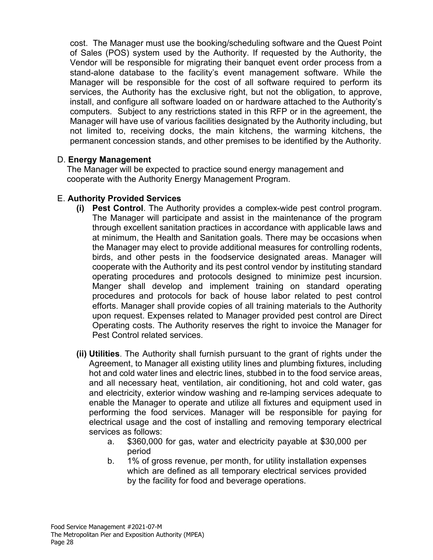cost. The Manager must use the booking/scheduling software and the Quest Point of Sales (POS) system used by the Authority. If requested by the Authority, the Vendor will be responsible for migrating their banquet event order process from a stand-alone database to the facility's event management software. While the Manager will be responsible for the cost of all software required to perform its services, the Authority has the exclusive right, but not the obligation, to approve, install, and configure all software loaded on or hardware attached to the Authority's computers. Subject to any restrictions stated in this RFP or in the agreement, the Manager will have use of various facilities designated by the Authority including, but not limited to, receiving docks, the main kitchens, the warming kitchens, the permanent concession stands, and other premises to be identified by the Authority.

#### D. **Energy Management**

The Manager will be expected to practice sound energy management and cooperate with the Authority Energy Management Program.

#### E. **Authority Provided Services**

- **(i) Pest Control**. The Authority provides a complex-wide pest control program. The Manager will participate and assist in the maintenance of the program through excellent sanitation practices in accordance with applicable laws and at minimum, the Health and Sanitation goals. There may be occasions when the Manager may elect to provide additional measures for controlling rodents, birds, and other pests in the foodservice designated areas. Manager will cooperate with the Authority and its pest control vendor by instituting standard operating procedures and protocols designed to minimize pest incursion. Manger shall develop and implement training on standard operating procedures and protocols for back of house labor related to pest control efforts. Manager shall provide copies of all training materials to the Authority upon request. Expenses related to Manager provided pest control are Direct Operating costs. The Authority reserves the right to invoice the Manager for Pest Control related services.
- **(ii) Utilities**. The Authority shall furnish pursuant to the grant of rights under the Agreement, to Manager all existing utility lines and plumbing fixtures, including hot and cold water lines and electric lines, stubbed in to the food service areas, and all necessary heat, ventilation, air conditioning, hot and cold water, gas and electricity, exterior window washing and re-lamping services adequate to enable the Manager to operate and utilize all fixtures and equipment used in performing the food services. Manager will be responsible for paying for electrical usage and the cost of installing and removing temporary electrical services as follows:
	- a. \$360,000 for gas, water and electricity payable at \$30,000 per period
	- b. 1% of gross revenue, per month, for utility installation expenses which are defined as all temporary electrical services provided by the facility for food and beverage operations.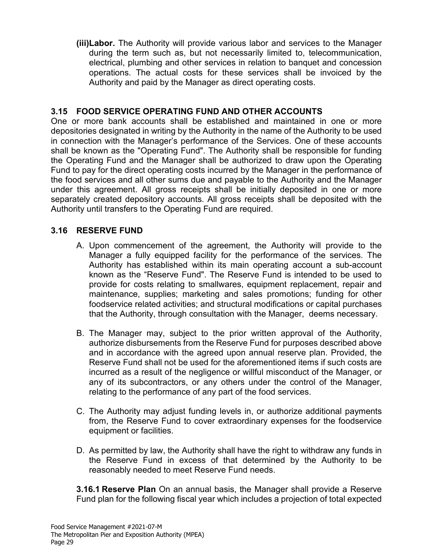**(iii)Labor.** The Authority will provide various labor and services to the Manager during the term such as, but not necessarily limited to, telecommunication, electrical, plumbing and other services in relation to banquet and concession operations. The actual costs for these services shall be invoiced by the Authority and paid by the Manager as direct operating costs.

#### **3.15 FOOD SERVICE OPERATING FUND AND OTHER ACCOUNTS**

One or more bank accounts shall be established and maintained in one or more depositories designated in writing by the Authority in the name of the Authority to be used in connection with the Manager's performance of the Services. One of these accounts shall be known as the "Operating Fund". The Authority shall be responsible for funding the Operating Fund and the Manager shall be authorized to draw upon the Operating Fund to pay for the direct operating costs incurred by the Manager in the performance of the food services and all other sums due and payable to the Authority and the Manager under this agreement. All gross receipts shall be initially deposited in one or more separately created depository accounts. All gross receipts shall be deposited with the Authority until transfers to the Operating Fund are required.

#### **3.16 RESERVE FUND**

- A. Upon commencement of the agreement, the Authority will provide to the Manager a fully equipped facility for the performance of the services. The Authority has established within its main operating account a sub-account known as the "Reserve Fund". The Reserve Fund is intended to be used to provide for costs relating to smallwares, equipment replacement, repair and maintenance, supplies; marketing and sales promotions; funding for other foodservice related activities; and structural modifications or capital purchases that the Authority, through consultation with the Manager, deems necessary.
- B. The Manager may, subject to the prior written approval of the Authority, authorize disbursements from the Reserve Fund for purposes described above and in accordance with the agreed upon annual reserve plan. Provided, the Reserve Fund shall not be used for the aforementioned items if such costs are incurred as a result of the negligence or willful misconduct of the Manager, or any of its subcontractors, or any others under the control of the Manager, relating to the performance of any part of the food services.
- C. The Authority may adjust funding levels in, or authorize additional payments from, the Reserve Fund to cover extraordinary expenses for the foodservice equipment or facilities.
- D. As permitted by law, the Authority shall have the right to withdraw any funds in the Reserve Fund in excess of that determined by the Authority to be reasonably needed to meet Reserve Fund needs.

**3.16.1 Reserve Plan** On an annual basis, the Manager shall provide a Reserve Fund plan for the following fiscal year which includes a projection of total expected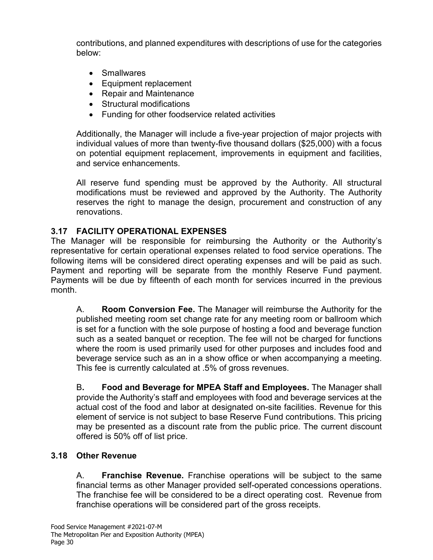contributions, and planned expenditures with descriptions of use for the categories below:

- Smallwares
- Equipment replacement
- Repair and Maintenance
- Structural modifications
- Funding for other foodservice related activities

Additionally, the Manager will include a five-year projection of major projects with individual values of more than twenty-five thousand dollars (\$25,000) with a focus on potential equipment replacement, improvements in equipment and facilities, and service enhancements.

All reserve fund spending must be approved by the Authority. All structural modifications must be reviewed and approved by the Authority. The Authority reserves the right to manage the design, procurement and construction of any renovations.

# **3.17 FACILITY OPERATIONAL EXPENSES**

The Manager will be responsible for reimbursing the Authority or the Authority's representative for certain operational expenses related to food service operations. The following items will be considered direct operating expenses and will be paid as such. Payment and reporting will be separate from the monthly Reserve Fund payment. Payments will be due by fifteenth of each month for services incurred in the previous month.

A. **Room Conversion Fee.** The Manager will reimburse the Authority for the published meeting room set change rate for any meeting room or ballroom which is set for a function with the sole purpose of hosting a food and beverage function such as a seated banquet or reception. The fee will not be charged for functions where the room is used primarily used for other purposes and includes food and beverage service such as an in a show office or when accompanying a meeting. This fee is currently calculated at .5% of gross revenues.

B**. Food and Beverage for MPEA Staff and Employees.** The Manager shall provide the Authority's staff and employees with food and beverage services at the actual cost of the food and labor at designated on-site facilities. Revenue for this element of service is not subject to base Reserve Fund contributions. This pricing may be presented as a discount rate from the public price. The current discount offered is 50% off of list price.

# **3.18 Other Revenue**

A. **Franchise Revenue.** Franchise operations will be subject to the same financial terms as other Manager provided self-operated concessions operations. The franchise fee will be considered to be a direct operating cost. Revenue from franchise operations will be considered part of the gross receipts.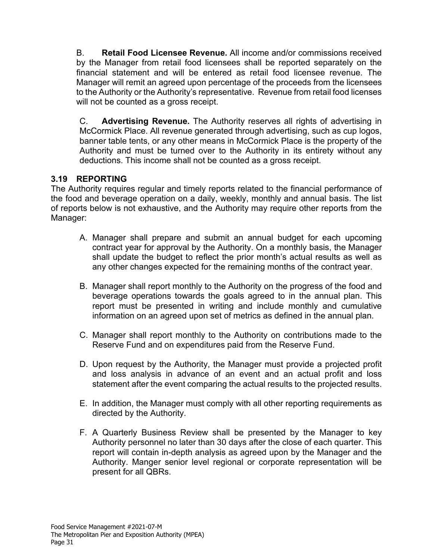B. **Retail Food Licensee Revenue.** All income and/or commissions received by the Manager from retail food licensees shall be reported separately on the financial statement and will be entered as retail food licensee revenue. The Manager will remit an agreed upon percentage of the proceeds from the licensees to the Authority or the Authority's representative. Revenue from retail food licenses will not be counted as a gross receipt.

C. **Advertising Revenue.** The Authority reserves all rights of advertising in McCormick Place. All revenue generated through advertising, such as cup logos, banner table tents, or any other means in McCormick Place is the property of the Authority and must be turned over to the Authority in its entirety without any deductions. This income shall not be counted as a gross receipt.

# **3.19 REPORTING**

The Authority requires regular and timely reports related to the financial performance of the food and beverage operation on a daily, weekly, monthly and annual basis. The list of reports below is not exhaustive, and the Authority may require other reports from the Manager:

- A. Manager shall prepare and submit an annual budget for each upcoming contract year for approval by the Authority. On a monthly basis, the Manager shall update the budget to reflect the prior month's actual results as well as any other changes expected for the remaining months of the contract year.
- B. Manager shall report monthly to the Authority on the progress of the food and beverage operations towards the goals agreed to in the annual plan. This report must be presented in writing and include monthly and cumulative information on an agreed upon set of metrics as defined in the annual plan.
- C. Manager shall report monthly to the Authority on contributions made to the Reserve Fund and on expenditures paid from the Reserve Fund.
- D. Upon request by the Authority, the Manager must provide a projected profit and loss analysis in advance of an event and an actual profit and loss statement after the event comparing the actual results to the projected results.
- E. In addition, the Manager must comply with all other reporting requirements as directed by the Authority.
- F. A Quarterly Business Review shall be presented by the Manager to key Authority personnel no later than 30 days after the close of each quarter. This report will contain in-depth analysis as agreed upon by the Manager and the Authority. Manger senior level regional or corporate representation will be present for all QBRs.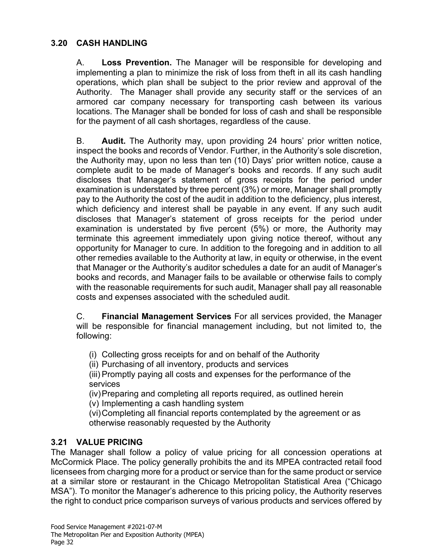### **3.20 CASH HANDLING**

A. **Loss Prevention.** The Manager will be responsible for developing and implementing a plan to minimize the risk of loss from theft in all its cash handling operations, which plan shall be subject to the prior review and approval of the Authority. The Manager shall provide any security staff or the services of an armored car company necessary for transporting cash between its various locations. The Manager shall be bonded for loss of cash and shall be responsible for the payment of all cash shortages, regardless of the cause.

B. **Audit.** The Authority may, upon providing 24 hours' prior written notice, inspect the books and records of Vendor. Further, in the Authority's sole discretion, the Authority may, upon no less than ten (10) Days' prior written notice, cause a complete audit to be made of Manager's books and records. If any such audit discloses that Manager's statement of gross receipts for the period under examination is understated by three percent (3%) or more, Manager shall promptly pay to the Authority the cost of the audit in addition to the deficiency, plus interest, which deficiency and interest shall be payable in any event. If any such audit discloses that Manager's statement of gross receipts for the period under examination is understated by five percent (5%) or more, the Authority may terminate this agreement immediately upon giving notice thereof, without any opportunity for Manager to cure. In addition to the foregoing and in addition to all other remedies available to the Authority at law, in equity or otherwise, in the event that Manager or the Authority's auditor schedules a date for an audit of Manager's books and records, and Manager fails to be available or otherwise fails to comply with the reasonable requirements for such audit, Manager shall pay all reasonable costs and expenses associated with the scheduled audit.

C. **Financial Management Services** For all services provided, the Manager will be responsible for financial management including, but not limited to, the following:

(i) Collecting gross receipts for and on behalf of the Authority

(ii) Purchasing of all inventory, products and services

(iii) Promptly paying all costs and expenses for the performance of the services

(iv)Preparing and completing all reports required, as outlined herein

(v) Implementing a cash handling system

(vi)Completing all financial reports contemplated by the agreement or as otherwise reasonably requested by the Authority

# **3.21 VALUE PRICING**

The Manager shall follow a policy of value pricing for all concession operations at McCormick Place. The policy generally prohibits the and its MPEA contracted retail food licensees from charging more for a product or service than for the same product or service at a similar store or restaurant in the Chicago Metropolitan Statistical Area ("Chicago MSA"). To monitor the Manager's adherence to this pricing policy, the Authority reserves the right to conduct price comparison surveys of various products and services offered by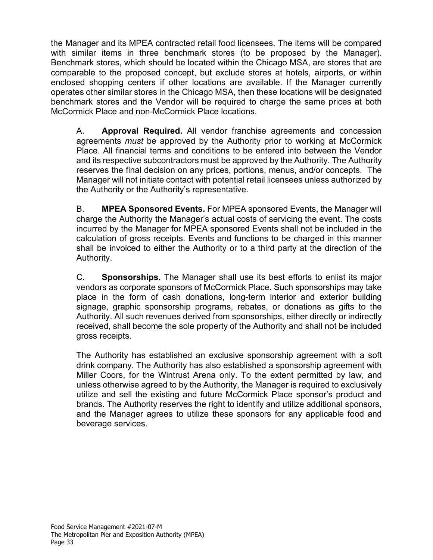the Manager and its MPEA contracted retail food licensees. The items will be compared with similar items in three benchmark stores (to be proposed by the Manager). Benchmark stores, which should be located within the Chicago MSA, are stores that are comparable to the proposed concept, but exclude stores at hotels, airports, or within enclosed shopping centers if other locations are available. If the Manager currently operates other similar stores in the Chicago MSA, then these locations will be designated benchmark stores and the Vendor will be required to charge the same prices at both McCormick Place and non-McCormick Place locations.

A. **Approval Required.** All vendor franchise agreements and concession agreements *must* be approved by the Authority prior to working at McCormick Place. All financial terms and conditions to be entered into between the Vendor and its respective subcontractors must be approved by the Authority. The Authority reserves the final decision on any prices, portions, menus, and/or concepts. The Manager will not initiate contact with potential retail licensees unless authorized by the Authority or the Authority's representative.

B. **MPEA Sponsored Events.** For MPEA sponsored Events, the Manager will charge the Authority the Manager's actual costs of servicing the event. The costs incurred by the Manager for MPEA sponsored Events shall not be included in the calculation of gross receipts. Events and functions to be charged in this manner shall be invoiced to either the Authority or to a third party at the direction of the Authority.

C. **Sponsorships.** The Manager shall use its best efforts to enlist its major vendors as corporate sponsors of McCormick Place. Such sponsorships may take place in the form of cash donations, long-term interior and exterior building signage, graphic sponsorship programs, rebates, or donations as gifts to the Authority. All such revenues derived from sponsorships, either directly or indirectly received, shall become the sole property of the Authority and shall not be included gross receipts.

The Authority has established an exclusive sponsorship agreement with a soft drink company. The Authority has also established a sponsorship agreement with Miller Coors, for the Wintrust Arena only. To the extent permitted by law, and unless otherwise agreed to by the Authority, the Manager is required to exclusively utilize and sell the existing and future McCormick Place sponsor's product and brands. The Authority reserves the right to identify and utilize additional sponsors, and the Manager agrees to utilize these sponsors for any applicable food and beverage services.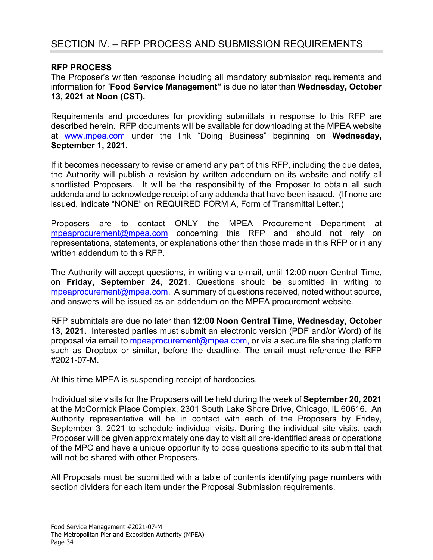# SECTION IV. – RFP PROCESS AND SUBMISSION REQUIREMENTS

#### **RFP PROCESS**

The Proposer's written response including all mandatory submission requirements and information for "**Food Service Management"** is due no later than **Wednesday, October 13, 2021 at Noon (CST).** 

Requirements and procedures for providing submittals in response to this RFP are described herein. RFP documents will be available for downloading at the MPEA website at [www.mpea.com](http://www.mpea.com/) under the link "Doing Business" beginning on **Wednesday, September 1, 2021.**

If it becomes necessary to revise or amend any part of this RFP, including the due dates, the Authority will publish a revision by written addendum on its website and notify all shortlisted Proposers. It will be the responsibility of the Proposer to obtain all such addenda and to acknowledge receipt of any addenda that have been issued. (If none are issued, indicate "NONE" on REQUIRED FORM A, Form of Transmittal Letter.)

Proposers are to contact ONLY the MPEA Procurement Department at [mpeaprocurement@mpea.com](mailto:mpeaprocurement@mpea.com) concerning this RFP and should not rely on representations, statements, or explanations other than those made in this RFP or in any written addendum to this RFP.

The Authority will accept questions, in writing via e-mail, until 12:00 noon Central Time, on **Friday, September 24, 2021**. Questions should be submitted in writing to [mpeaprocurement@mpea.com.](mailto:mpeaprocurement@mpea.com) A summary of questions received, noted without source, and answers will be issued as an addendum on the MPEA procurement website.

RFP submittals are due no later than **12:00 Noon Central Time, Wednesday, October 13, 2021.** Interested parties must submit an electronic version (PDF and/or Word) of its proposal via email to [mpeaprocurement@mpea.com,](mailto:mpeaprocurement@mpea.com) or via a secure file sharing platform such as Dropbox or similar, before the deadline. The email must reference the RFP #2021-07-M.

At this time MPEA is suspending receipt of hardcopies.

Individual site visits for the Proposers will be held during the week of **September 20, 2021** at the McCormick Place Complex, 2301 South Lake Shore Drive, Chicago, IL 60616. An Authority representative will be in contact with each of the Proposers by Friday, September 3, 2021 to schedule individual visits. During the individual site visits, each Proposer will be given approximately one day to visit all pre-identified areas or operations of the MPC and have a unique opportunity to pose questions specific to its submittal that will not be shared with other Proposers.

All Proposals must be submitted with a table of contents identifying page numbers with section dividers for each item under the Proposal Submission requirements.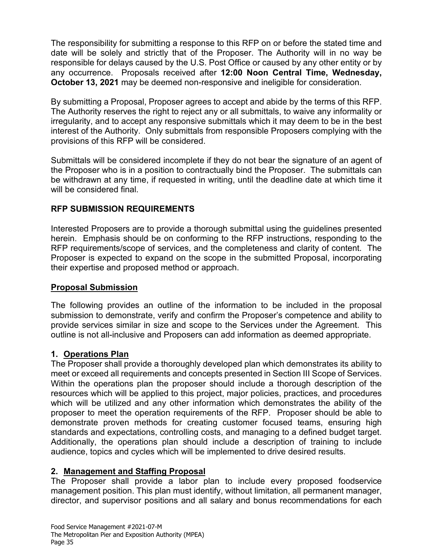The responsibility for submitting a response to this RFP on or before the stated time and date will be solely and strictly that of the Proposer. The Authority will in no way be responsible for delays caused by the U.S. Post Office or caused by any other entity or by any occurrence. Proposals received after **12:00 Noon Central Time, Wednesday, October 13, 2021** may be deemed non-responsive and ineligible for consideration.

By submitting a Proposal, Proposer agrees to accept and abide by the terms of this RFP. The Authority reserves the right to reject any or all submittals, to waive any informality or irregularity, and to accept any responsive submittals which it may deem to be in the best interest of the Authority. Only submittals from responsible Proposers complying with the provisions of this RFP will be considered.

Submittals will be considered incomplete if they do not bear the signature of an agent of the Proposer who is in a position to contractually bind the Proposer. The submittals can be withdrawn at any time, if requested in writing, until the deadline date at which time it will be considered final.

# **RFP SUBMISSION REQUIREMENTS**

Interested Proposers are to provide a thorough submittal using the guidelines presented herein. Emphasis should be on conforming to the RFP instructions, responding to the RFP requirements/scope of services, and the completeness and clarity of content. The Proposer is expected to expand on the scope in the submitted Proposal, incorporating their expertise and proposed method or approach.

### **Proposal Submission**

The following provides an outline of the information to be included in the proposal submission to demonstrate, verify and confirm the Proposer's competence and ability to provide services similar in size and scope to the Services under the Agreement. This outline is not all-inclusive and Proposers can add information as deemed appropriate.

# **1. Operations Plan**

The Proposer shall provide a thoroughly developed plan which demonstrates its ability to meet or exceed all requirements and concepts presented in Section III Scope of Services. Within the operations plan the proposer should include a thorough description of the resources which will be applied to this project, major policies, practices, and procedures which will be utilized and any other information which demonstrates the ability of the proposer to meet the operation requirements of the RFP. Proposer should be able to demonstrate proven methods for creating customer focused teams, ensuring high standards and expectations, controlling costs, and managing to a defined budget target. Additionally, the operations plan should include a description of training to include audience, topics and cycles which will be implemented to drive desired results.

# **2. Management and Staffing Proposal**

The Proposer shall provide a labor plan to include every proposed foodservice management position. This plan must identify, without limitation, all permanent manager, director, and supervisor positions and all salary and bonus recommendations for each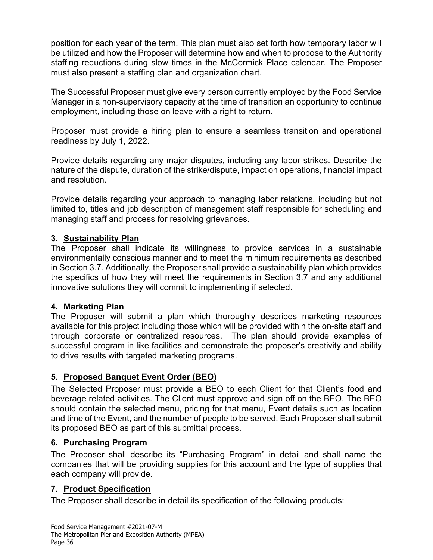position for each year of the term. This plan must also set forth how temporary labor will be utilized and how the Proposer will determine how and when to propose to the Authority staffing reductions during slow times in the McCormick Place calendar. The Proposer must also present a staffing plan and organization chart.

The Successful Proposer must give every person currently employed by the Food Service Manager in a non-supervisory capacity at the time of transition an opportunity to continue employment, including those on leave with a right to return.

Proposer must provide a hiring plan to ensure a seamless transition and operational readiness by July 1, 2022.

Provide details regarding any major disputes, including any labor strikes. Describe the nature of the dispute, duration of the strike/dispute, impact on operations, financial impact and resolution.

Provide details regarding your approach to managing labor relations, including but not limited to, titles and job description of management staff responsible for scheduling and managing staff and process for resolving grievances.

# **3. Sustainability Plan**

The Proposer shall indicate its willingness to provide services in a sustainable environmentally conscious manner and to meet the minimum requirements as described in Section 3.7. Additionally, the Proposer shall provide a sustainability plan which provides the specifics of how they will meet the requirements in Section 3.7 and any additional innovative solutions they will commit to implementing if selected.

# **4. Marketing Plan**

The Proposer will submit a plan which thoroughly describes marketing resources available for this project including those which will be provided within the on-site staff and through corporate or centralized resources. The plan should provide examples of successful program in like facilities and demonstrate the proposer's creativity and ability to drive results with targeted marketing programs.

# **5. Proposed Banquet Event Order (BEO)**

The Selected Proposer must provide a BEO to each Client for that Client's food and beverage related activities. The Client must approve and sign off on the BEO. The BEO should contain the selected menu, pricing for that menu, Event details such as location and time of the Event, and the number of people to be served. Each Proposer shall submit its proposed BEO as part of this submittal process.

# **6. Purchasing Program**

The Proposer shall describe its "Purchasing Program" in detail and shall name the companies that will be providing supplies for this account and the type of supplies that each company will provide.

### **7. Product Specification**

The Proposer shall describe in detail its specification of the following products: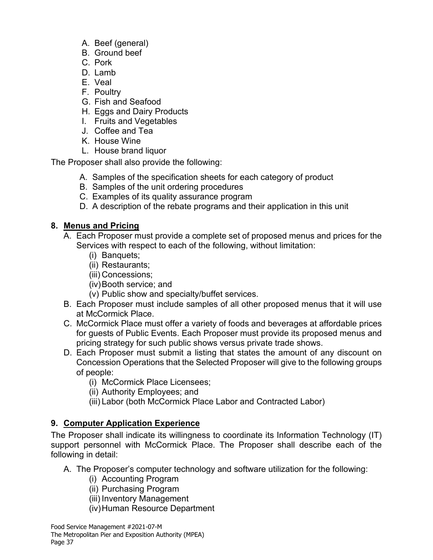- A. Beef (general)
- B. Ground beef
- C. Pork
- D. Lamb
- E. Veal
- F. Poultry
- G. Fish and Seafood
- H. Eggs and Dairy Products
- I. Fruits and Vegetables
- J. Coffee and Tea
- K. House Wine
- L. House brand liquor

The Proposer shall also provide the following:

- A. Samples of the specification sheets for each category of product
- B. Samples of the unit ordering procedures
- C. Examples of its quality assurance program
- D. A description of the rebate programs and their application in this unit

# **8. Menus and Pricing**

- A. Each Proposer must provide a complete set of proposed menus and prices for the Services with respect to each of the following, without limitation:
	- (i) Banquets;
	- (ii) Restaurants;
	- (iii) Concessions;
	- (iv)Booth service; and
	- (v) Public show and specialty/buffet services.
- B. Each Proposer must include samples of all other proposed menus that it will use at McCormick Place.
- C. McCormick Place must offer a variety of foods and beverages at affordable prices for guests of Public Events. Each Proposer must provide its proposed menus and pricing strategy for such public shows versus private trade shows.
- D. Each Proposer must submit a listing that states the amount of any discount on Concession Operations that the Selected Proposer will give to the following groups of people:
	- (i) McCormick Place Licensees;
	- (ii) Authority Employees; and
	- (iii) Labor (both McCormick Place Labor and Contracted Labor)

# **9. Computer Application Experience**

The Proposer shall indicate its willingness to coordinate its Information Technology (IT) support personnel with McCormick Place. The Proposer shall describe each of the following in detail:

- A. The Proposer's computer technology and software utilization for the following:
	- (i) Accounting Program
	- (ii) Purchasing Program
	- (iii) Inventory Management
	- (iv)Human Resource Department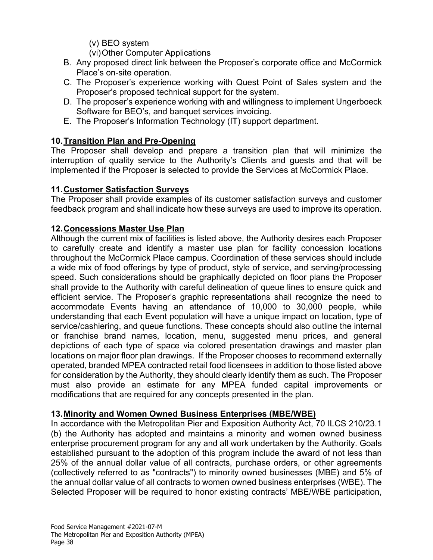- (v) BEO system
- (vi)Other Computer Applications
- B. Any proposed direct link between the Proposer's corporate office and McCormick Place's on-site operation.
- C. The Proposer's experience working with Quest Point of Sales system and the Proposer's proposed technical support for the system.
- D. The proposer's experience working with and willingness to implement Ungerboeck Software for BEO's, and banquet services invoicing.
- E. The Proposer's Information Technology (IT) support department.

# **10.Transition Plan and Pre-Opening**

The Proposer shall develop and prepare a transition plan that will minimize the interruption of quality service to the Authority's Clients and guests and that will be implemented if the Proposer is selected to provide the Services at McCormick Place.

# **11.Customer Satisfaction Surveys**

The Proposer shall provide examples of its customer satisfaction surveys and customer feedback program and shall indicate how these surveys are used to improve its operation.

# **12.Concessions Master Use Plan**

Although the current mix of facilities is listed above, the Authority desires each Proposer to carefully create and identify a master use plan for facility concession locations throughout the McCormick Place campus. Coordination of these services should include a wide mix of food offerings by type of product, style of service, and serving/processing speed. Such considerations should be graphically depicted on floor plans the Proposer shall provide to the Authority with careful delineation of queue lines to ensure quick and efficient service. The Proposer's graphic representations shall recognize the need to accommodate Events having an attendance of 10,000 to 30,000 people, while understanding that each Event population will have a unique impact on location, type of service/cashiering, and queue functions. These concepts should also outline the internal or franchise brand names, location, menu, suggested menu prices, and general depictions of each type of space via colored presentation drawings and master plan locations on major floor plan drawings. If the Proposer chooses to recommend externally operated, branded MPEA contracted retail food licensees in addition to those listed above for consideration by the Authority, they should clearly identify them as such. The Proposer must also provide an estimate for any MPEA funded capital improvements or modifications that are required for any concepts presented in the plan.

### **13.Minority and Women Owned Business Enterprises (MBE/WBE)**

In accordance with the Metropolitan Pier and Exposition Authority Act, 70 ILCS 210/23.1 (b) the Authority has adopted and maintains a minority and women owned business enterprise procurement program for any and all work undertaken by the Authority. Goals established pursuant to the adoption of this program include the award of not less than 25% of the annual dollar value of all contracts, purchase orders, or other agreements (collectively referred to as "contracts") to minority owned businesses (MBE) and 5% of the annual dollar value of all contracts to women owned business enterprises (WBE). The Selected Proposer will be required to honor existing contracts' MBE/WBE participation,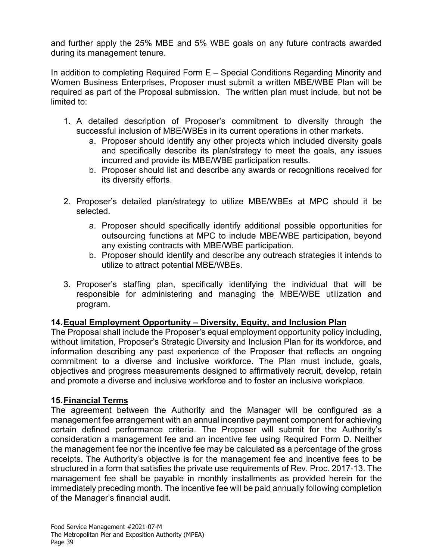and further apply the 25% MBE and 5% WBE goals on any future contracts awarded during its management tenure.

In addition to completing Required Form E – Special Conditions Regarding Minority and Women Business Enterprises, Proposer must submit a written MBE/WBE Plan will be required as part of the Proposal submission. The written plan must include, but not be limited to:

- 1. A detailed description of Proposer's commitment to diversity through the successful inclusion of MBE/WBEs in its current operations in other markets.
	- a. Proposer should identify any other projects which included diversity goals and specifically describe its plan/strategy to meet the goals, any issues incurred and provide its MBE/WBE participation results.
	- b. Proposer should list and describe any awards or recognitions received for its diversity efforts.
- 2. Proposer's detailed plan/strategy to utilize MBE/WBEs at MPC should it be selected.
	- a. Proposer should specifically identify additional possible opportunities for outsourcing functions at MPC to include MBE/WBE participation, beyond any existing contracts with MBE/WBE participation.
	- b. Proposer should identify and describe any outreach strategies it intends to utilize to attract potential MBE/WBEs.
- 3. Proposer's staffing plan, specifically identifying the individual that will be responsible for administering and managing the MBE/WBE utilization and program.

### **14.Equal Employment Opportunity – Diversity, Equity, and Inclusion Plan**

The Proposal shall include the Proposer's equal employment opportunity policy including, without limitation, Proposer's Strategic Diversity and Inclusion Plan for its workforce, and information describing any past experience of the Proposer that reflects an ongoing commitment to a diverse and inclusive workforce. The Plan must include, goals, objectives and progress measurements designed to affirmatively recruit, develop, retain and promote a diverse and inclusive workforce and to foster an inclusive workplace.

# **15.Financial Terms**

The agreement between the Authority and the Manager will be configured as a management fee arrangement with an annual incentive payment component for achieving certain defined performance criteria. The Proposer will submit for the Authority's consideration a management fee and an incentive fee using Required Form D. Neither the management fee nor the incentive fee may be calculated as a percentage of the gross receipts. The Authority's objective is for the management fee and incentive fees to be structured in a form that satisfies the private use requirements of Rev. Proc. 2017-13. The management fee shall be payable in monthly installments as provided herein for the immediately preceding month. The incentive fee will be paid annually following completion of the Manager's financial audit.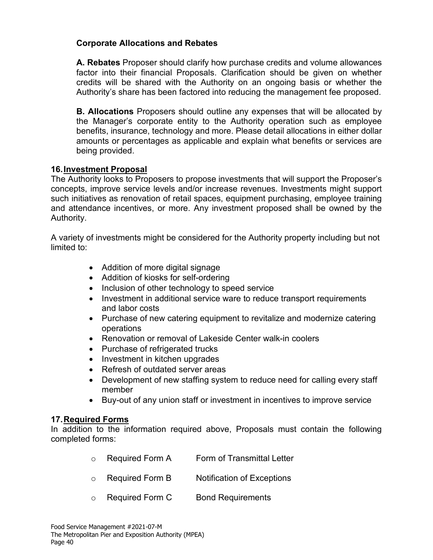### **Corporate Allocations and Rebates**

**A. Rebates** Proposer should clarify how purchase credits and volume allowances factor into their financial Proposals. Clarification should be given on whether credits will be shared with the Authority on an ongoing basis or whether the Authority's share has been factored into reducing the management fee proposed.

**B. Allocations** Proposers should outline any expenses that will be allocated by the Manager's corporate entity to the Authority operation such as employee benefits, insurance, technology and more. Please detail allocations in either dollar amounts or percentages as applicable and explain what benefits or services are being provided.

#### **16.Investment Proposal**

The Authority looks to Proposers to propose investments that will support the Proposer's concepts, improve service levels and/or increase revenues. Investments might support such initiatives as renovation of retail spaces, equipment purchasing, employee training and attendance incentives, or more. Any investment proposed shall be owned by the Authority.

A variety of investments might be considered for the Authority property including but not limited to:

- Addition of more digital signage
- Addition of kiosks for self-ordering
- Inclusion of other technology to speed service
- Investment in additional service ware to reduce transport requirements and labor costs
- Purchase of new catering equipment to revitalize and modernize catering operations
- Renovation or removal of Lakeside Center walk-in coolers
- Purchase of refrigerated trucks
- Investment in kitchen upgrades
- Refresh of outdated server areas
- Development of new staffing system to reduce need for calling every staff member
- Buy-out of any union staff or investment in incentives to improve service

#### **17.Required Forms**

In addition to the information required above, Proposals must contain the following completed forms:

- o Required Form A Form of Transmittal Letter
- o Required Form B Notification of Exceptions
- o Required Form C Bond Requirements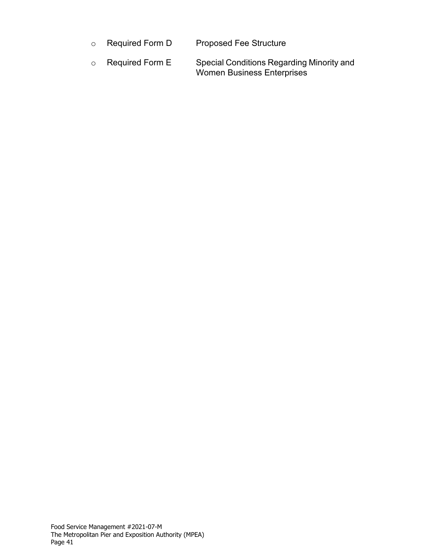| $\circ$ Required Form D | <b>Proposed Fee Structure</b> |  |
|-------------------------|-------------------------------|--|
|                         |                               |  |

 $\circ$  Required Form E  $\qquad$  Special Conditions Regarding Minority and Women Business Enterprises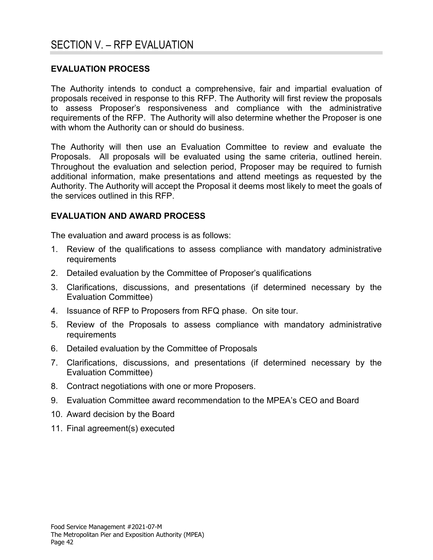#### **EVALUATION PROCESS**

The Authority intends to conduct a comprehensive, fair and impartial evaluation of proposals received in response to this RFP. The Authority will first review the proposals to assess Proposer's responsiveness and compliance with the administrative requirements of the RFP. The Authority will also determine whether the Proposer is one with whom the Authority can or should do business.

The Authority will then use an Evaluation Committee to review and evaluate the Proposals. All proposals will be evaluated using the same criteria, outlined herein. Throughout the evaluation and selection period, Proposer may be required to furnish additional information, make presentations and attend meetings as requested by the Authority. The Authority will accept the Proposal it deems most likely to meet the goals of the services outlined in this RFP.

#### **EVALUATION AND AWARD PROCESS**

The evaluation and award process is as follows:

- 1. Review of the qualifications to assess compliance with mandatory administrative requirements
- 2. Detailed evaluation by the Committee of Proposer's qualifications
- 3. Clarifications, discussions, and presentations (if determined necessary by the Evaluation Committee)
- 4. Issuance of RFP to Proposers from RFQ phase. On site tour.
- 5. Review of the Proposals to assess compliance with mandatory administrative requirements
- 6. Detailed evaluation by the Committee of Proposals
- 7. Clarifications, discussions, and presentations (if determined necessary by the Evaluation Committee)
- 8. Contract negotiations with one or more Proposers.
- 9. Evaluation Committee award recommendation to the MPEA's CEO and Board
- 10. Award decision by the Board
- 11. Final agreement(s) executed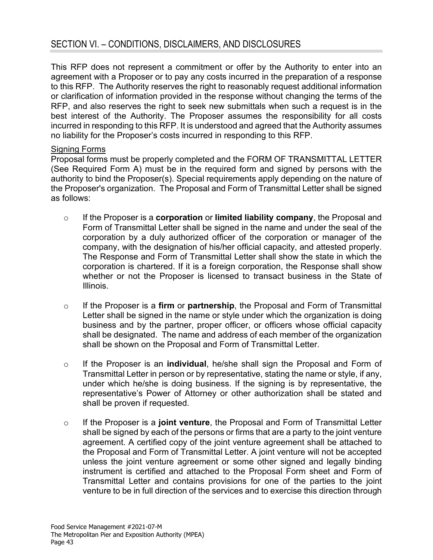This RFP does not represent a commitment or offer by the Authority to enter into an agreement with a Proposer or to pay any costs incurred in the preparation of a response to this RFP. The Authority reserves the right to reasonably request additional information or clarification of information provided in the response without changing the terms of the RFP, and also reserves the right to seek new submittals when such a request is in the best interest of the Authority. The Proposer assumes the responsibility for all costs incurred in responding to this RFP. It is understood and agreed that the Authority assumes no liability for the Proposer's costs incurred in responding to this RFP.

#### Signing Forms

Proposal forms must be properly completed and the FORM OF TRANSMITTAL LETTER (See Required Form A) must be in the required form and signed by persons with the authority to bind the Proposer(s). Special requirements apply depending on the nature of the Proposer's organization. The Proposal and Form of Transmittal Letter shall be signed as follows:

- o If the Proposer is a **corporation** or **limited liability company**, the Proposal and Form of Transmittal Letter shall be signed in the name and under the seal of the corporation by a duly authorized officer of the corporation or manager of the company, with the designation of his/her official capacity, and attested properly. The Response and Form of Transmittal Letter shall show the state in which the corporation is chartered. If it is a foreign corporation, the Response shall show whether or not the Proposer is licensed to transact business in the State of Illinois.
- o If the Proposer is a **firm** or **partnership**, the Proposal and Form of Transmittal Letter shall be signed in the name or style under which the organization is doing business and by the partner, proper officer, or officers whose official capacity shall be designated. The name and address of each member of the organization shall be shown on the Proposal and Form of Transmittal Letter.
- o If the Proposer is an **individual**, he/she shall sign the Proposal and Form of Transmittal Letter in person or by representative, stating the name or style, if any, under which he/she is doing business. If the signing is by representative, the representative's Power of Attorney or other authorization shall be stated and shall be proven if requested.
- o If the Proposer is a **joint venture**, the Proposal and Form of Transmittal Letter shall be signed by each of the persons or firms that are a party to the joint venture agreement. A certified copy of the joint venture agreement shall be attached to the Proposal and Form of Transmittal Letter. A joint venture will not be accepted unless the joint venture agreement or some other signed and legally binding instrument is certified and attached to the Proposal Form sheet and Form of Transmittal Letter and contains provisions for one of the parties to the joint venture to be in full direction of the services and to exercise this direction through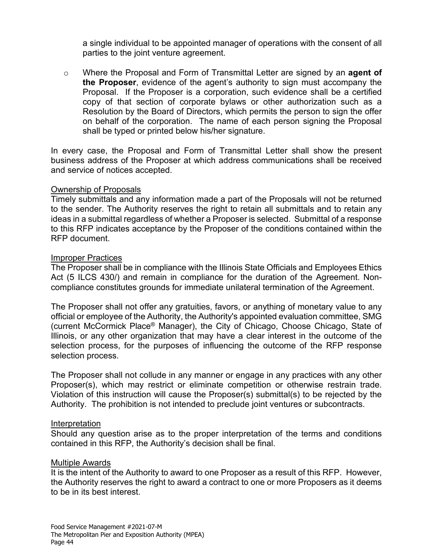a single individual to be appointed manager of operations with the consent of all parties to the joint venture agreement.

o Where the Proposal and Form of Transmittal Letter are signed by an **agent of the Proposer**, evidence of the agent's authority to sign must accompany the Proposal. If the Proposer is a corporation, such evidence shall be a certified copy of that section of corporate bylaws or other authorization such as a Resolution by the Board of Directors, which permits the person to sign the offer on behalf of the corporation. The name of each person signing the Proposal shall be typed or printed below his/her signature.

In every case, the Proposal and Form of Transmittal Letter shall show the present business address of the Proposer at which address communications shall be received and service of notices accepted.

#### Ownership of Proposals

Timely submittals and any information made a part of the Proposals will not be returned to the sender. The Authority reserves the right to retain all submittals and to retain any ideas in a submittal regardless of whether a Proposer is selected. Submittal of a response to this RFP indicates acceptance by the Proposer of the conditions contained within the RFP document.

#### Improper Practices

The Proposer shall be in compliance with the Illinois State Officials and Employees Ethics Act (5 ILCS 430/) and remain in compliance for the duration of the Agreement. Noncompliance constitutes grounds for immediate unilateral termination of the Agreement.

The Proposer shall not offer any gratuities, favors, or anything of monetary value to any official or employee of the Authority, the Authority's appointed evaluation committee, SMG (current McCormick Place® Manager), the City of Chicago, Choose Chicago, State of Illinois, or any other organization that may have a clear interest in the outcome of the selection process, for the purposes of influencing the outcome of the RFP response selection process.

The Proposer shall not collude in any manner or engage in any practices with any other Proposer(s), which may restrict or eliminate competition or otherwise restrain trade. Violation of this instruction will cause the Proposer(s) submittal(s) to be rejected by the Authority. The prohibition is not intended to preclude joint ventures or subcontracts.

#### Interpretation

Should any question arise as to the proper interpretation of the terms and conditions contained in this RFP, the Authority's decision shall be final.

#### Multiple Awards

It is the intent of the Authority to award to one Proposer as a result of this RFP. However, the Authority reserves the right to award a contract to one or more Proposers as it deems to be in its best interest.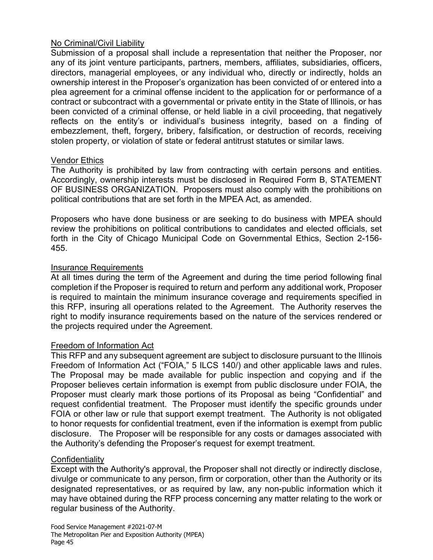#### No Criminal/Civil Liability

Submission of a proposal shall include a representation that neither the Proposer, nor any of its joint venture participants, partners, members, affiliates, subsidiaries, officers, directors, managerial employees, or any individual who, directly or indirectly, holds an ownership interest in the Proposer's organization has been convicted of or entered into a plea agreement for a criminal offense incident to the application for or performance of a contract or subcontract with a governmental or private entity in the State of Illinois, or has been convicted of a criminal offense, or held liable in a civil proceeding, that negatively reflects on the entity's or individual's business integrity, based on a finding of embezzlement, theft, forgery, bribery, falsification, or destruction of records, receiving stolen property, or violation of state or federal antitrust statutes or similar laws.

#### Vendor Ethics

The Authority is prohibited by law from contracting with certain persons and entities. Accordingly, ownership interests must be disclosed in Required Form B, STATEMENT OF BUSINESS ORGANIZATION. Proposers must also comply with the prohibitions on political contributions that are set forth in the MPEA Act, as amended.

Proposers who have done business or are seeking to do business with MPEA should review the prohibitions on political contributions to candidates and elected officials, set forth in the City of Chicago Municipal Code on Governmental Ethics, Section 2-156- 455.

#### Insurance Requirements

At all times during the term of the Agreement and during the time period following final completion if the Proposer is required to return and perform any additional work, Proposer is required to maintain the minimum insurance coverage and requirements specified in this RFP, insuring all operations related to the Agreement. The Authority reserves the right to modify insurance requirements based on the nature of the services rendered or the projects required under the Agreement.

#### Freedom of Information Act

This RFP and any subsequent agreement are subject to disclosure pursuant to the Illinois Freedom of Information Act ("FOIA," 5 ILCS 140/) and other applicable laws and rules. The Proposal may be made available for public inspection and copying and if the Proposer believes certain information is exempt from public disclosure under FOIA, the Proposer must clearly mark those portions of its Proposal as being "Confidential" and request confidential treatment. The Proposer must identify the specific grounds under FOIA or other law or rule that support exempt treatment. The Authority is not obligated to honor requests for confidential treatment, even if the information is exempt from public disclosure. The Proposer will be responsible for any costs or damages associated with the Authority's defending the Proposer's request for exempt treatment.

#### **Confidentiality**

Except with the Authority's approval, the Proposer shall not directly or indirectly disclose, divulge or communicate to any person, firm or corporation, other than the Authority or its designated representatives, or as required by law, any non-public information which it may have obtained during the RFP process concerning any matter relating to the work or regular business of the Authority.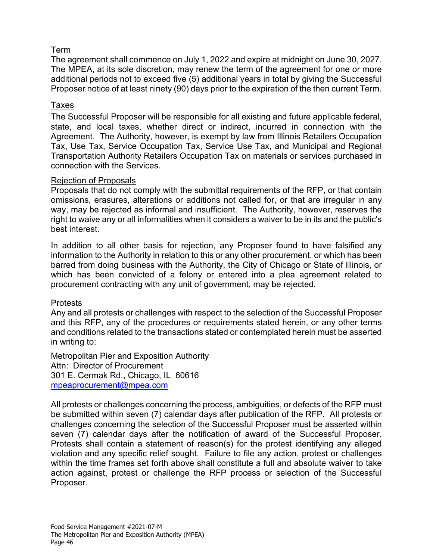### Term

The agreement shall commence on July 1, 2022 and expire at midnight on June 30, 2027. The MPEA, at its sole discretion, may renew the term of the agreement for one or more additional periods not to exceed five (5) additional years in total by giving the Successful Proposer notice of at least ninety (90) days prior to the expiration of the then current Term.

#### Taxes

The Successful Proposer will be responsible for all existing and future applicable federal, state, and local taxes, whether direct or indirect, incurred in connection with the Agreement. The Authority, however, is exempt by law from Illinois Retailers Occupation Tax, Use Tax, Service Occupation Tax, Service Use Tax, and Municipal and Regional Transportation Authority Retailers Occupation Tax on materials or services purchased in connection with the Services.

#### Rejection of Proposals

Proposals that do not comply with the submittal requirements of the RFP, or that contain omissions, erasures, alterations or additions not called for, or that are irregular in any way, may be rejected as informal and insufficient. The Authority, however, reserves the right to waive any or all informalities when it considers a waiver to be in its and the public's best interest.

In addition to all other basis for rejection, any Proposer found to have falsified any information to the Authority in relation to this or any other procurement, or which has been barred from doing business with the Authority, the City of Chicago or State of Illinois, or which has been convicted of a felony or entered into a plea agreement related to procurement contracting with any unit of government, may be rejected.

#### Protests

Any and all protests or challenges with respect to the selection of the Successful Proposer and this RFP, any of the procedures or requirements stated herein, or any other terms and conditions related to the transactions stated or contemplated herein must be asserted in writing to:

Metropolitan Pier and Exposition Authority Attn: Director of Procurement 301 E. Cermak Rd., Chicago, IL 60616 [mpeaprocurement@mpea.com](mailto:mpeaprocurement@mpea.com)

All protests or challenges concerning the process, ambiguities, or defects of the RFP must be submitted within seven (7) calendar days after publication of the RFP. All protests or challenges concerning the selection of the Successful Proposer must be asserted within seven (7) calendar days after the notification of award of the Successful Proposer. Protests shall contain a statement of reason(s) for the protest identifying any alleged violation and any specific relief sought. Failure to file any action, protest or challenges within the time frames set forth above shall constitute a full and absolute waiver to take action against, protest or challenge the RFP process or selection of the Successful Proposer.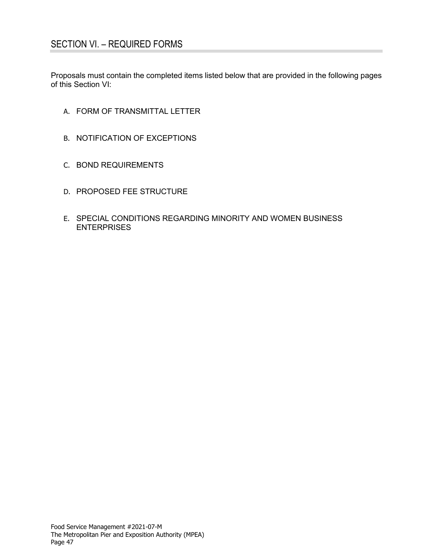Proposals must contain the completed items listed below that are provided in the following pages of this Section VI:

- A. FORM OF TRANSMITTAL LETTER
- B. NOTIFICATION OF EXCEPTIONS
- C. BOND REQUIREMENTS
- D. PROPOSED FEE STRUCTURE
- E. SPECIAL CONDITIONS REGARDING MINORITY AND WOMEN BUSINESS **ENTERPRISES**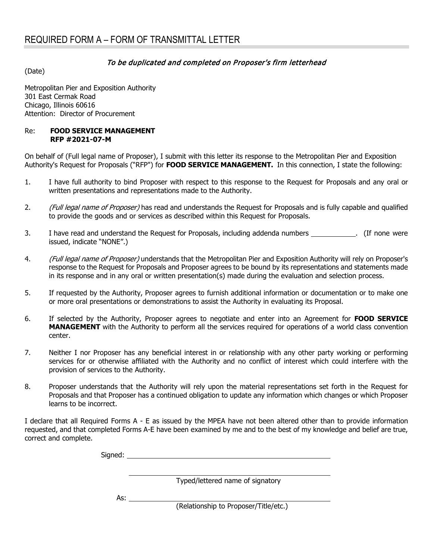#### To be duplicated and completed on Proposer's firm letterhead

(Date)

Metropolitan Pier and Exposition Authority 301 East Cermak Road Chicago, Illinois 60616 Attention: Director of Procurement

#### Re: **FOOD SERVICE MANAGEMENT RFP #2021-07-M**

On behalf of (Full legal name of Proposer), I submit with this letter its response to the Metropolitan Pier and Exposition Authority's Request for Proposals ("RFP") for **FOOD SERVICE MANAGEMENT.** In this connection, I state the following:

- 1. I have full authority to bind Proposer with respect to this response to the Request for Proposals and any oral or written presentations and representations made to the Authority.
- 2. (Full legal name of Proposer) has read and understands the Request for Proposals and is fully capable and qualified to provide the goods and or services as described within this Request for Proposals.
- 3. I have read and understand the Request for Proposals, including addenda numbers . (If none were issued, indicate "NONE".)
- 4. (Full legal name of Proposer) understands that the Metropolitan Pier and Exposition Authority will rely on Proposer's response to the Request for Proposals and Proposer agrees to be bound by its representations and statements made in its response and in any oral or written presentation(s) made during the evaluation and selection process.
- 5. If requested by the Authority, Proposer agrees to furnish additional information or documentation or to make one or more oral presentations or demonstrations to assist the Authority in evaluating its Proposal.
- 6. If selected by the Authority, Proposer agrees to negotiate and enter into an Agreement for **FOOD SERVICE MANAGEMENT** with the Authority to perform all the services required for operations of a world class convention center.
- 7. Neither I nor Proposer has any beneficial interest in or relationship with any other party working or performing services for or otherwise affiliated with the Authority and no conflict of interest which could interfere with the provision of services to the Authority.
- 8. Proposer understands that the Authority will rely upon the material representations set forth in the Request for Proposals and that Proposer has a continued obligation to update any information which changes or which Proposer learns to be incorrect.

I declare that all Required Forms A - E as issued by the MPEA have not been altered other than to provide information requested, and that completed Forms A-E have been examined by me and to the best of my knowledge and belief are true, correct and complete.

|     | Typed/lettered name of signatory      |
|-----|---------------------------------------|
| As: |                                       |
|     | (Relationship to Proposer/Title/etc.) |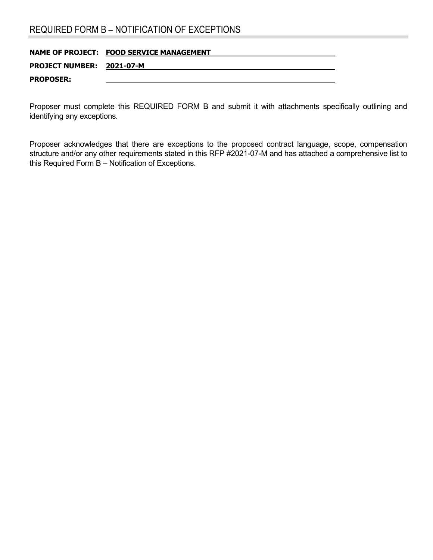# REQUIRED FORM B – NOTIFICATION OF EXCEPTIONS

|                           | NAME OF PROJECT: FOOD SERVICE MANAGEMENT |
|---------------------------|------------------------------------------|
| PROJECT NUMBER: 2021-07-M |                                          |
| <b>PROPOSER:</b>          |                                          |

Proposer must complete this REQUIRED FORM B and submit it with attachments specifically outlining and identifying any exceptions.

Proposer acknowledges that there are exceptions to the proposed contract language, scope, compensation structure and/or any other requirements stated in this RFP #2021-07-M and has attached a comprehensive list to this Required Form B – Notification of Exceptions.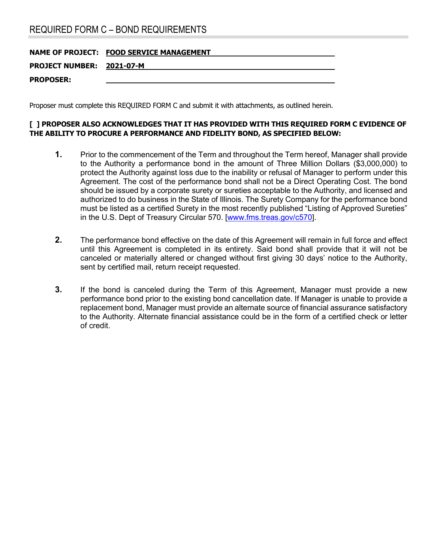# REQUIRED FORM C – BOND REQUIREMENTS

| <b>NAME OF PROJECT: FOOD SERVICE MANAGEMENT</b> |
|-------------------------------------------------|
| PROJECT NUMBER: 2021-07-M                       |
|                                                 |
|                                                 |

Proposer must complete this REQUIRED FORM C and submit it with attachments, as outlined herein.

#### **[ ] PROPOSER ALSO ACKNOWLEDGES THAT IT HAS PROVIDED WITH THIS REQUIRED FORM C EVIDENCE OF THE ABILITY TO PROCURE A PERFORMANCE AND FIDELITY BOND, AS SPECIFIED BELOW:**

- **1.** Prior to the commencement of the Term and throughout the Term hereof, Manager shall provide to the Authority a performance bond in the amount of Three Million Dollars (\$3,000,000) to protect the Authority against loss due to the inability or refusal of Manager to perform under this Agreement. The cost of the performance bond shall not be a Direct Operating Cost. The bond should be issued by a corporate surety or sureties acceptable to the Authority, and licensed and authorized to do business in the State of Illinois. The Surety Company for the performance bond must be listed as a certified Surety in the most recently published "Listing of Approved Sureties" in the U.S. Dept of Treasury Circular 570. [\[www.fms.treas.gov/c570\]](http://www.fms.treas.gov/c570).
- **2.** The performance bond effective on the date of this Agreement will remain in full force and effect until this Agreement is completed in its entirety. Said bond shall provide that it will not be canceled or materially altered or changed without first giving 30 days' notice to the Authority, sent by certified mail, return receipt requested.
- **3.** If the bond is canceled during the Term of this Agreement, Manager must provide a new performance bond prior to the existing bond cancellation date. If Manager is unable to provide a replacement bond, Manager must provide an alternate source of financial assurance satisfactory to the Authority. Alternate financial assistance could be in the form of a certified check or letter of credit.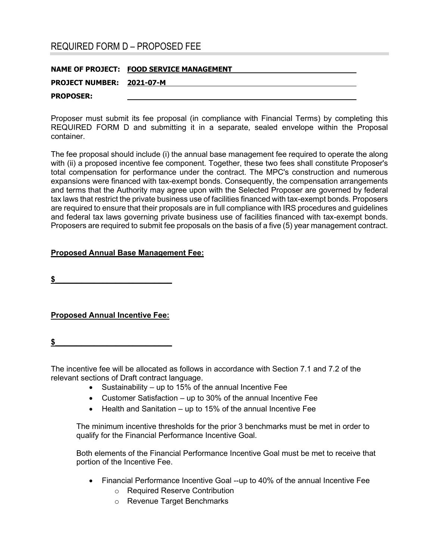### REQUIRED FORM D – PROPOSED FEE

|                           | NAME OF PROJECT: FOOD SERVICE MANAGEMENT |
|---------------------------|------------------------------------------|
| PROJECT NUMBER: 2021-07-M |                                          |
| <b>PROPOSER:</b>          |                                          |

Proposer must submit its fee proposal (in compliance with Financial Terms) by completing this REQUIRED FORM D and submitting it in a separate, sealed envelope within the Proposal container.

The fee proposal should include (i) the annual base management fee required to operate the along with (ii) a proposed incentive fee component. Together, these two fees shall constitute Proposer's total compensation for performance under the contract. The MPC's construction and numerous expansions were financed with tax-exempt bonds. Consequently, the compensation arrangements and terms that the Authority may agree upon with the Selected Proposer are governed by federal tax laws that restrict the private business use of facilities financed with tax-exempt bonds. Proposers are required to ensure that their proposals are in full compliance with IRS procedures and guidelines and federal tax laws governing private business use of facilities financed with tax-exempt bonds. Proposers are required to submit fee proposals on the basis of a five (5) year management contract.

#### **Proposed Annual Base Management Fee:**

**\$\_\_\_\_\_\_\_\_\_\_\_\_\_\_\_\_\_\_\_\_\_\_\_\_\_\_\_**

**Proposed Annual Incentive Fee:**

**\$\_\_\_\_\_\_\_\_\_\_\_\_\_\_\_\_\_\_\_\_\_\_\_\_\_\_\_**

The incentive fee will be allocated as follows in accordance with Section 7.1 and 7.2 of the relevant sections of Draft contract language.

- Sustainability up to 15% of the annual Incentive Fee
- Customer Satisfaction up to 30% of the annual Incentive Fee
- Health and Sanitation up to 15% of the annual Incentive Fee

The minimum incentive thresholds for the prior 3 benchmarks must be met in order to qualify for the Financial Performance Incentive Goal.

Both elements of the Financial Performance Incentive Goal must be met to receive that portion of the Incentive Fee.

- Financial Performance Incentive Goal --up to 40% of the annual Incentive Fee
	- o Required Reserve Contribution
	- o Revenue Target Benchmarks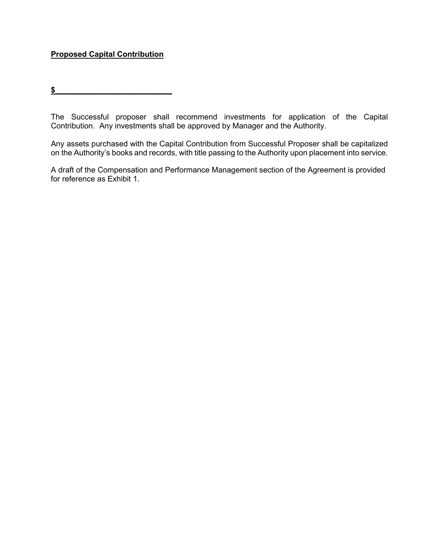### **Proposed Capital Contribution**

 $\frac{1}{2}$ 

The Successful proposer shall recommend investments for application of the Capital Contribution. Any investments shall be approved by Manager and the Authority.

Any assets purchased with the Capital Contribution from Successful Proposer shall be capitalized on the Authority's books and records, with title passing to the Authority upon placement into service.

A draft of the Compensation and Performance Management section of the Agreement is provided for reference as Exhibit 1.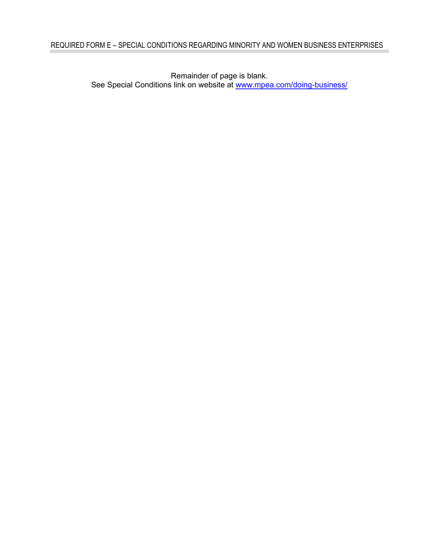Remainder of page is blank. See Special Conditions link on website at [www.mpea.com/doing-business/](http://www.mpea.com/doing-business/)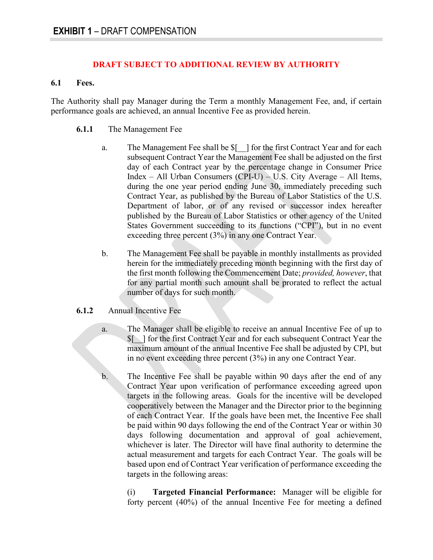#### **DRAFT SUBJECT TO ADDITIONAL REVIEW BY AUTHORITY**

#### **6.1 Fees.**

The Authority shall pay Manager during the Term a monthly Management Fee, and, if certain performance goals are achieved, an annual Incentive Fee as provided herein.

#### **6.1.1** The Management Fee

- a. The Management Fee shall be \$[\_\_] for the first Contract Year and for each subsequent Contract Year the Management Fee shall be adjusted on the first day of each Contract year by the percentage change in Consumer Price Index – All Urban Consumers (CPI-U) – U.S. City Average – All Items, during the one year period ending June 30, immediately preceding such Contract Year, as published by the Bureau of Labor Statistics of the U.S. Department of labor, or of any revised or successor index hereafter published by the Bureau of Labor Statistics or other agency of the United States Government succeeding to its functions ("CPI"), but in no event exceeding three percent (3%) in any one Contract Year.
- b. The Management Fee shall be payable in monthly installments as provided herein for the immediately preceding month beginning with the first day of the first month following the Commencement Date; *provided, however*, that for any partial month such amount shall be prorated to reflect the actual number of days for such month.

#### **6.1.2** Annual Incentive Fee

- a. The Manager shall be eligible to receive an annual Incentive Fee of up to \$[\_\_] for the first Contract Year and for each subsequent Contract Year the maximum amount of the annual Incentive Fee shall be adjusted by CPI, but in no event exceeding three percent (3%) in any one Contract Year.
- b. The Incentive Fee shall be payable within 90 days after the end of any Contract Year upon verification of performance exceeding agreed upon targets in the following areas. Goals for the incentive will be developed cooperatively between the Manager and the Director prior to the beginning of each Contract Year. If the goals have been met, the Incentive Fee shall be paid within 90 days following the end of the Contract Year or within 30 days following documentation and approval of goal achievement, whichever is later. The Director will have final authority to determine the actual measurement and targets for each Contract Year. The goals will be based upon end of Contract Year verification of performance exceeding the targets in the following areas:

(i) **Targeted Financial Performance:** Manager will be eligible for forty percent (40%) of the annual Incentive Fee for meeting a defined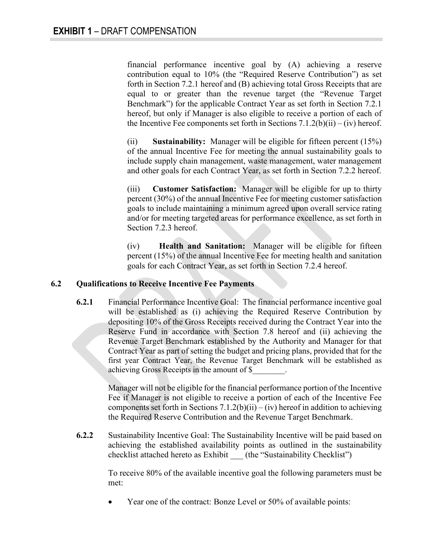financial performance incentive goal by (A) achieving a reserve contribution equal to 10% (the "Required Reserve Contribution") as set forth in Section 7.2.1 hereof and (B) achieving total Gross Receipts that are equal to or greater than the revenue target (the "Revenue Target Benchmark") for the applicable Contract Year as set forth in Section 7.2.1 hereof, but only if Manager is also eligible to receive a portion of each of the Incentive Fee components set forth in Sections  $7.1.2(b)(ii) - (iv)$  hereof.

(ii) **Sustainability:** Manager will be eligible for fifteen percent (15%) of the annual Incentive Fee for meeting the annual sustainability goals to include supply chain management, waste management, water management and other goals for each Contract Year, as set forth in Section 7.2.2 hereof.

(iii) **Customer Satisfaction:** Manager will be eligible for up to thirty percent (30%) of the annual Incentive Fee for meeting customer satisfaction goals to include maintaining a minimum agreed upon overall service rating and/or for meeting targeted areas for performance excellence, as set forth in Section 7.2.3 hereof.

(iv) **Health and Sanitation:** Manager will be eligible for fifteen percent (15%) of the annual Incentive Fee for meeting health and sanitation goals for each Contract Year, as set forth in Section 7.2.4 hereof.

#### **6.2 Qualifications to Receive Incentive Fee Payments**

**6.2.1** Financial Performance Incentive Goal: The financial performance incentive goal will be established as (i) achieving the Required Reserve Contribution by depositing 10% of the Gross Receipts received during the Contract Year into the Reserve Fund in accordance with Section 7.8 hereof and (ii) achieving the Revenue Target Benchmark established by the Authority and Manager for that Contract Year as part of setting the budget and pricing plans, provided that for the first year Contract Year, the Revenue Target Benchmark will be established as achieving Gross Receipts in the amount of \$\_\_\_\_\_\_\_\_.

> Manager will not be eligible for the financial performance portion of the Incentive Fee if Manager is not eligible to receive a portion of each of the Incentive Fee components set forth in Sections  $7.1.2(b)(ii) - (iv)$  hereof in addition to achieving the Required Reserve Contribution and the Revenue Target Benchmark.

**6.2.2** Sustainability Incentive Goal: The Sustainability Incentive will be paid based on achieving the established availability points as outlined in the sustainability checklist attached hereto as Exhibit (the "Sustainability Checklist")

> To receive 80% of the available incentive goal the following parameters must be met:

Year one of the contract: Bonze Level or 50% of available points: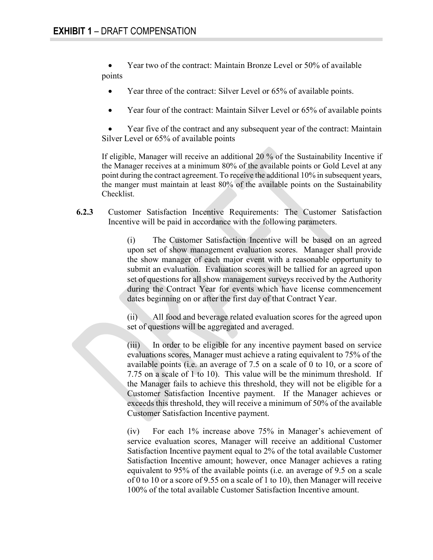• Year two of the contract: Maintain Bronze Level or 50% of available points

- Year three of the contract: Silver Level or 65% of available points.
- Year four of the contract: Maintain Silver Level or 65% of available points

• Year five of the contract and any subsequent year of the contract: Maintain Silver Level or 65% of available points

If eligible, Manager will receive an additional 20 % of the Sustainability Incentive if the Manager receives at a minimum 80% of the available points or Gold Level at any point during the contract agreement. To receive the additional 10% in subsequent years, the manger must maintain at least 80% of the available points on the Sustainability Checklist.

**6.2.3** Customer Satisfaction Incentive Requirements: The Customer Satisfaction Incentive will be paid in accordance with the following parameters.

> (i) The Customer Satisfaction Incentive will be based on an agreed upon set of show management evaluation scores. Manager shall provide the show manager of each major event with a reasonable opportunity to submit an evaluation. Evaluation scores will be tallied for an agreed upon set of questions for all show management surveys received by the Authority during the Contract Year for events which have license commencement dates beginning on or after the first day of that Contract Year.

> (ii) All food and beverage related evaluation scores for the agreed upon set of questions will be aggregated and averaged.

> (iii) In order to be eligible for any incentive payment based on service evaluations scores, Manager must achieve a rating equivalent to 75% of the available points (i.e. an average of 7.5 on a scale of 0 to 10, or a score of 7.75 on a scale of 1 to 10). This value will be the minimum threshold. If the Manager fails to achieve this threshold, they will not be eligible for a Customer Satisfaction Incentive payment. If the Manager achieves or exceeds this threshold, they will receive a minimum of 50% of the available Customer Satisfaction Incentive payment.

> (iv) For each 1% increase above 75% in Manager's achievement of service evaluation scores, Manager will receive an additional Customer Satisfaction Incentive payment equal to 2% of the total available Customer Satisfaction Incentive amount; however, once Manager achieves a rating equivalent to 95% of the available points (i.e. an average of 9.5 on a scale of 0 to 10 or a score of 9.55 on a scale of 1 to 10), then Manager will receive 100% of the total available Customer Satisfaction Incentive amount.